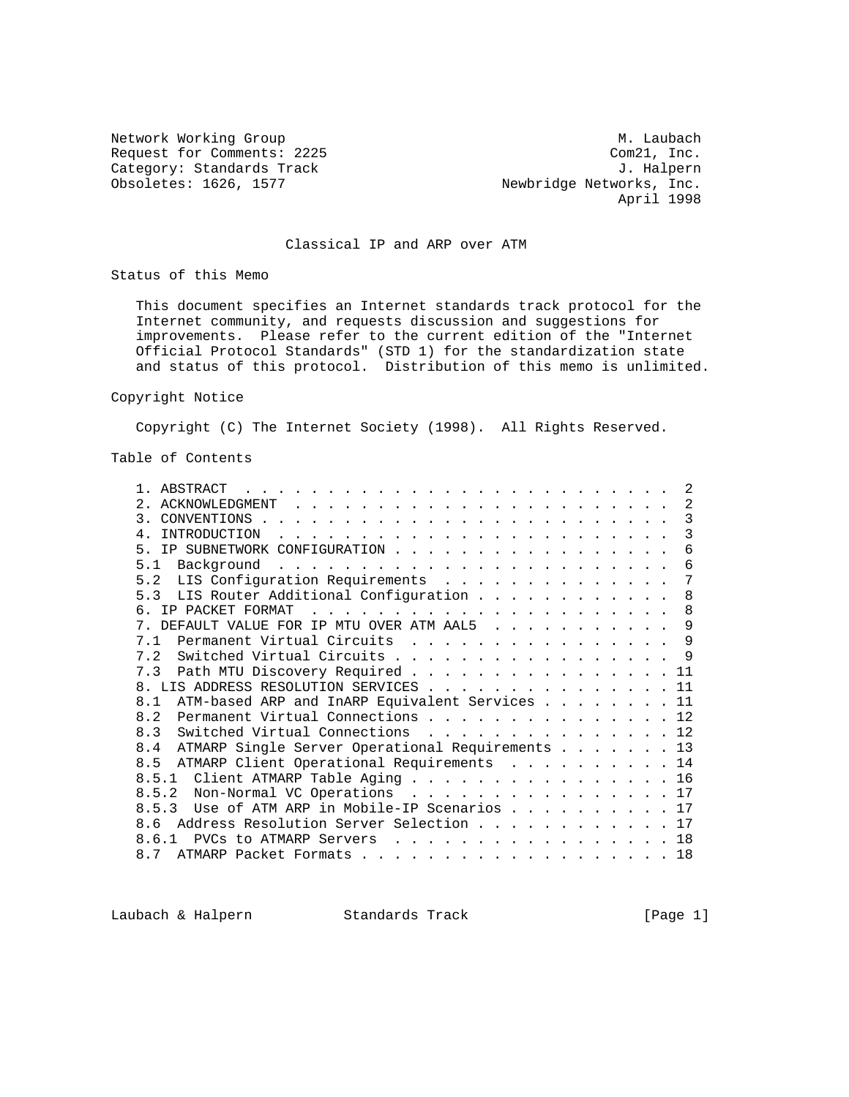Network Working Group M. Laubach Request for Comments: 2225 Com21, Inc.<br>
Category: Standards Track Category: Standards Track Category: Standards Track<br>Obsoletes: 1626, 1577

Newbridge Networks, Inc. April 1998

# Classical IP and ARP over ATM

Status of this Memo

 This document specifies an Internet standards track protocol for the Internet community, and requests discussion and suggestions for improvements. Please refer to the current edition of the "Internet Official Protocol Standards" (STD 1) for the standardization state and status of this protocol. Distribution of this memo is unlimited.

### Copyright Notice

Copyright (C) The Internet Society (1998). All Rights Reserved.

## Table of Contents

| ABSTRACT<br>$\sim$ $\sim$ $\sim$ $\sim$ $\sim$                                                                                                                                                                                                                                                                                     |  | 2   |
|------------------------------------------------------------------------------------------------------------------------------------------------------------------------------------------------------------------------------------------------------------------------------------------------------------------------------------|--|-----|
| ACKNOWLEDGMENT<br>$\sim$ $\sim$ $\sim$ $\sim$ $\sim$<br>$\frac{1}{2}$ , $\frac{1}{2}$ , $\frac{1}{2}$ , $\frac{1}{2}$ , $\frac{1}{2}$ , $\frac{1}{2}$ , $\frac{1}{2}$ , $\frac{1}{2}$ , $\frac{1}{2}$                                                                                                                              |  | 2   |
| 3<br>CONVENTIONS                                                                                                                                                                                                                                                                                                                   |  | 3   |
| <b>TNTRODUCTION</b><br>$\mathbf{1}$ , $\mathbf{1}$ , $\mathbf{1}$ , $\mathbf{1}$ , $\mathbf{1}$ , $\mathbf{1}$ , $\mathbf{1}$ , $\mathbf{1}$ , $\mathbf{1}$ , $\mathbf{1}$ , $\mathbf{1}$ , $\mathbf{1}$ , $\mathbf{1}$ , $\mathbf{1}$ , $\mathbf{1}$ , $\mathbf{1}$ , $\mathbf{1}$ , $\mathbf{1}$ , $\mathbf{1}$ , $\mathbf{1}$ , |  | 3   |
| 5<br>IP SUBNETWORK CONFIGURATION.<br>and the state of the state of the state                                                                                                                                                                                                                                                       |  | 6   |
| 5<br>$\overline{1}$<br>Background                                                                                                                                                                                                                                                                                                  |  | 6   |
| LIS Configuration Requirements<br>5.2                                                                                                                                                                                                                                                                                              |  | 7   |
| LIS Router Additional Configuration<br>Б.<br>२                                                                                                                                                                                                                                                                                     |  | 8   |
| IP PACKET FORMAT<br>$\mathbf{r}$                                                                                                                                                                                                                                                                                                   |  | 8   |
| DEFAULT VALUE FOR IP MTU OVER ATM AAL5<br>7<br>$\mathbf{r}$ , and $\mathbf{r}$ , and $\mathbf{r}$ , and $\mathbf{r}$                                                                                                                                                                                                               |  | 9   |
| Permanent Virtual Circuits<br>7 1<br>$\frac{1}{2}$ . The state of the state of the state of the state of the state of the state of the state of the state of the state of the state of the state of the state of the state of the state of the state of the state of t                                                             |  | 9   |
| Switched Virtual Circuits.<br>7.2<br>$\frac{1}{2}$ , $\frac{1}{2}$ , $\frac{1}{2}$ , $\frac{1}{2}$ , $\frac{1}{2}$ , $\frac{1}{2}$ , $\frac{1}{2}$ , $\frac{1}{2}$ , $\frac{1}{2}$ , $\frac{1}{2}$ , $\frac{1}{2}$                                                                                                                 |  | 9   |
| Path MTU Discovery Required<br>7.3                                                                                                                                                                                                                                                                                                 |  |     |
| LIS ADDRESS RESOLUTION SERVICES                                                                                                                                                                                                                                                                                                    |  | 11  |
| ATM-based ARP and InARP Equivalent Services<br>8.1                                                                                                                                                                                                                                                                                 |  | 11  |
| Permanent Virtual Connections<br>8.2                                                                                                                                                                                                                                                                                               |  | 12  |
| 8.3<br>Switched Virtual Connections<br>.                                                                                                                                                                                                                                                                                           |  | 12. |
| ATMARP Single Server Operational Requirements<br>8.4                                                                                                                                                                                                                                                                               |  | 13  |
| ATMARP Client Operational Requirements<br>8.5                                                                                                                                                                                                                                                                                      |  | 14  |
| Client ATMARP Table Aging<br>8.5.1                                                                                                                                                                                                                                                                                                 |  | 16  |
| 8.5.2<br>Non-Normal VC Operations                                                                                                                                                                                                                                                                                                  |  | 17  |
| Use of ATM ARP in Mobile-IP Scenarios $\ldots$<br>53                                                                                                                                                                                                                                                                               |  | 17  |
| Address Resolution Server Selection.<br>8.6<br>and the company of the                                                                                                                                                                                                                                                              |  |     |
| PVCs to ATMARP Servers<br>$\mathbf{r}$ , and $\mathbf{r}$ , and $\mathbf{r}$ , and $\mathbf{r}$<br><b>Service</b>                                                                                                                                                                                                                  |  | 18  |
| ATMARP Packet Formats<br>87<br><u>in the second contract of the second contract of the second contract of the second contract of the second contract of the second contract of the second contract of the second contract of the second contract of the second </u>                                                                |  | 18  |
|                                                                                                                                                                                                                                                                                                                                    |  |     |

Laubach & Halpern Standards Track [Page 1]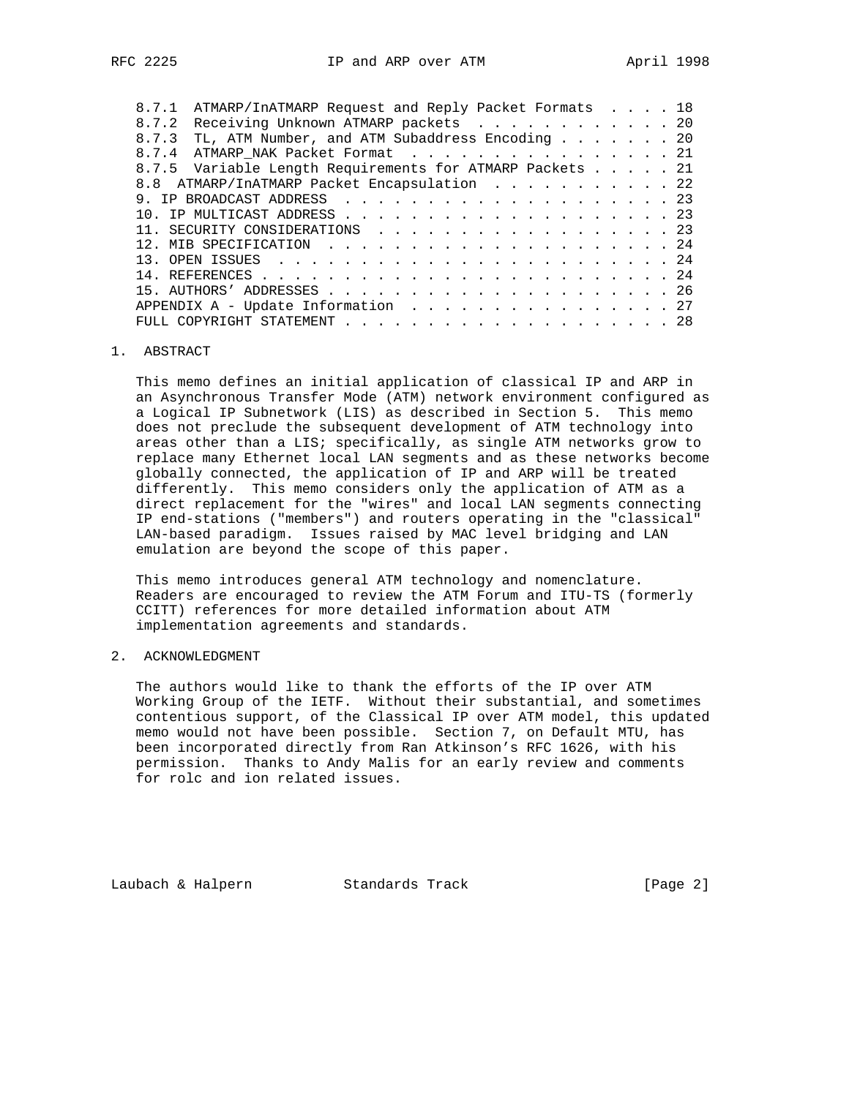| 8.7.1 | ATMARP/InATMARP Request and Reply Packet Formats 18      |  |  |  |  |  |  |  |  |  |  |
|-------|----------------------------------------------------------|--|--|--|--|--|--|--|--|--|--|
| 8.7.2 | Receiving Unknown ATMARP packets 20                      |  |  |  |  |  |  |  |  |  |  |
| 8.7.3 | TL, ATM Number, and ATM Subaddress Encoding 20           |  |  |  |  |  |  |  |  |  |  |
|       | 8.7.4 ATMARP NAK Packet Format 21                        |  |  |  |  |  |  |  |  |  |  |
|       | 8.7.5 Variable Length Requirements for ATMARP Packets 21 |  |  |  |  |  |  |  |  |  |  |
|       | 8.8 ATMARP/InATMARP Packet Encapsulation 22              |  |  |  |  |  |  |  |  |  |  |
|       |                                                          |  |  |  |  |  |  |  |  |  |  |
|       |                                                          |  |  |  |  |  |  |  |  |  |  |
|       | 11. SECURITY CONSIDERATIONS 23                           |  |  |  |  |  |  |  |  |  |  |
|       |                                                          |  |  |  |  |  |  |  |  |  |  |
|       |                                                          |  |  |  |  |  |  |  |  |  |  |
|       |                                                          |  |  |  |  |  |  |  |  |  |  |
|       |                                                          |  |  |  |  |  |  |  |  |  |  |
|       | APPENDIX A - Update Information 27                       |  |  |  |  |  |  |  |  |  |  |
|       |                                                          |  |  |  |  |  |  |  |  |  |  |
|       |                                                          |  |  |  |  |  |  |  |  |  |  |

### 1. ABSTRACT

 This memo defines an initial application of classical IP and ARP in an Asynchronous Transfer Mode (ATM) network environment configured as a Logical IP Subnetwork (LIS) as described in Section 5. This memo does not preclude the subsequent development of ATM technology into areas other than a LIS; specifically, as single ATM networks grow to replace many Ethernet local LAN segments and as these networks become globally connected, the application of IP and ARP will be treated differently. This memo considers only the application of ATM as a direct replacement for the "wires" and local LAN segments connecting IP end-stations ("members") and routers operating in the "classical" LAN-based paradigm. Issues raised by MAC level bridging and LAN emulation are beyond the scope of this paper.

 This memo introduces general ATM technology and nomenclature. Readers are encouraged to review the ATM Forum and ITU-TS (formerly CCITT) references for more detailed information about ATM implementation agreements and standards.

## 2. ACKNOWLEDGMENT

 The authors would like to thank the efforts of the IP over ATM Working Group of the IETF. Without their substantial, and sometimes contentious support, of the Classical IP over ATM model, this updated memo would not have been possible. Section 7, on Default MTU, has been incorporated directly from Ran Atkinson's RFC 1626, with his permission. Thanks to Andy Malis for an early review and comments for rolc and ion related issues.

Laubach & Halpern Standards Track [Page 2]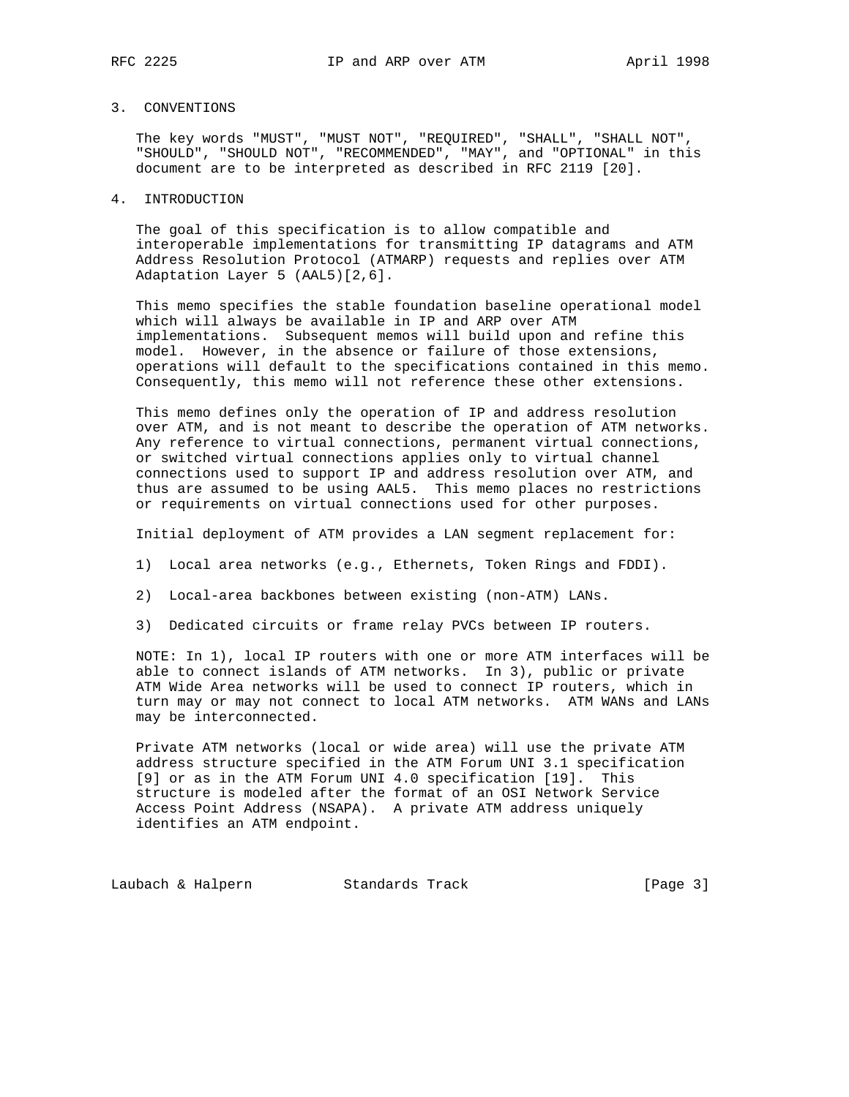## 3. CONVENTIONS

 The key words "MUST", "MUST NOT", "REQUIRED", "SHALL", "SHALL NOT", "SHOULD", "SHOULD NOT", "RECOMMENDED", "MAY", and "OPTIONAL" in this document are to be interpreted as described in RFC 2119 [20].

### 4. INTRODUCTION

 The goal of this specification is to allow compatible and interoperable implementations for transmitting IP datagrams and ATM Address Resolution Protocol (ATMARP) requests and replies over ATM Adaptation Layer 5 (AAL5)[2,6].

 This memo specifies the stable foundation baseline operational model which will always be available in IP and ARP over ATM implementations. Subsequent memos will build upon and refine this model. However, in the absence or failure of those extensions, operations will default to the specifications contained in this memo. Consequently, this memo will not reference these other extensions.

 This memo defines only the operation of IP and address resolution over ATM, and is not meant to describe the operation of ATM networks. Any reference to virtual connections, permanent virtual connections, or switched virtual connections applies only to virtual channel connections used to support IP and address resolution over ATM, and thus are assumed to be using AAL5. This memo places no restrictions or requirements on virtual connections used for other purposes.

Initial deployment of ATM provides a LAN segment replacement for:

- 1) Local area networks (e.g., Ethernets, Token Rings and FDDI).
- 2) Local-area backbones between existing (non-ATM) LANs.
- 3) Dedicated circuits or frame relay PVCs between IP routers.

 NOTE: In 1), local IP routers with one or more ATM interfaces will be able to connect islands of ATM networks. In 3), public or private ATM Wide Area networks will be used to connect IP routers, which in turn may or may not connect to local ATM networks. ATM WANs and LANs may be interconnected.

 Private ATM networks (local or wide area) will use the private ATM address structure specified in the ATM Forum UNI 3.1 specification [9] or as in the ATM Forum UNI 4.0 specification [19]. This structure is modeled after the format of an OSI Network Service Access Point Address (NSAPA). A private ATM address uniquely identifies an ATM endpoint.

Laubach & Halpern Standards Track [Page 3]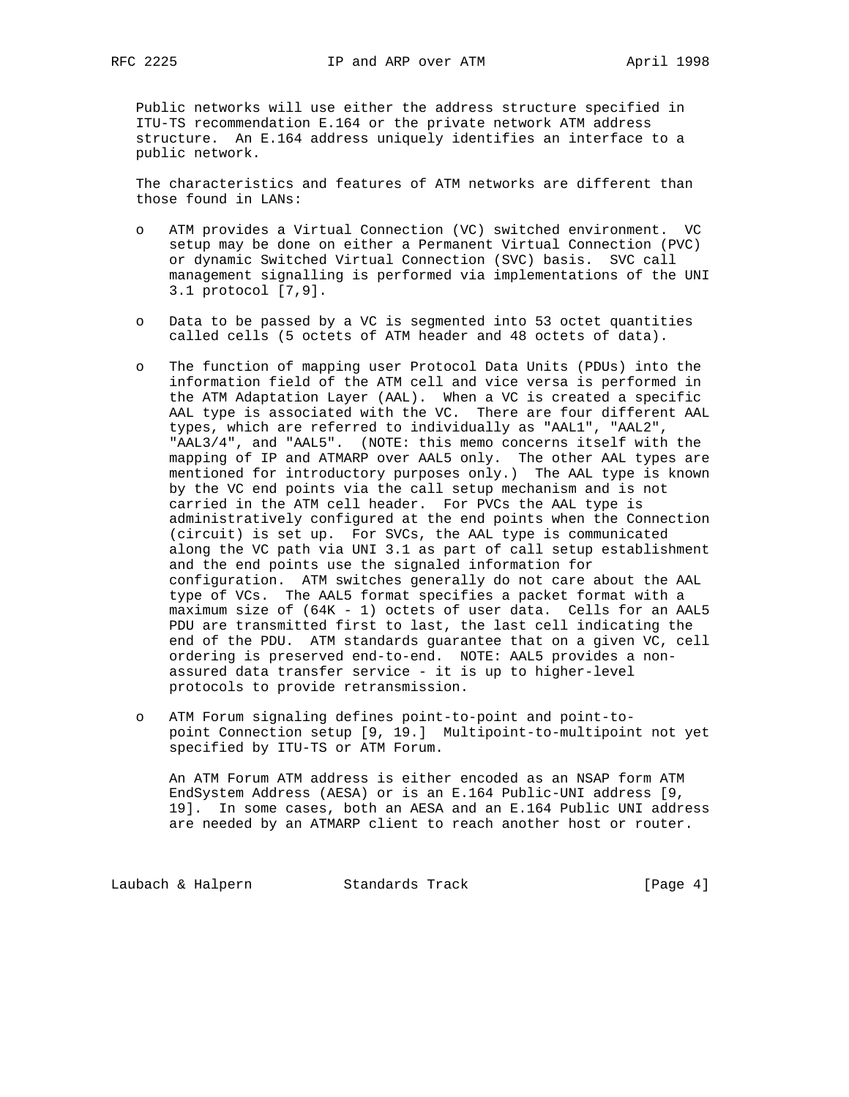Public networks will use either the address structure specified in ITU-TS recommendation E.164 or the private network ATM address structure. An E.164 address uniquely identifies an interface to a public network.

 The characteristics and features of ATM networks are different than those found in LANs:

- o ATM provides a Virtual Connection (VC) switched environment. VC setup may be done on either a Permanent Virtual Connection (PVC) or dynamic Switched Virtual Connection (SVC) basis. SVC call management signalling is performed via implementations of the UNI 3.1 protocol [7,9].
- o Data to be passed by a VC is segmented into 53 octet quantities called cells (5 octets of ATM header and 48 octets of data).
- o The function of mapping user Protocol Data Units (PDUs) into the information field of the ATM cell and vice versa is performed in the ATM Adaptation Layer (AAL). When a VC is created a specific AAL type is associated with the VC. There are four different AAL types, which are referred to individually as "AAL1", "AAL2", "AAL3/4", and "AAL5". (NOTE: this memo concerns itself with the mapping of IP and ATMARP over AAL5 only. The other AAL types are mentioned for introductory purposes only.) The AAL type is known by the VC end points via the call setup mechanism and is not carried in the ATM cell header. For PVCs the AAL type is administratively configured at the end points when the Connection (circuit) is set up. For SVCs, the AAL type is communicated along the VC path via UNI 3.1 as part of call setup establishment and the end points use the signaled information for configuration. ATM switches generally do not care about the AAL type of VCs. The AAL5 format specifies a packet format with a maximum size of (64K - 1) octets of user data. Cells for an AAL5 PDU are transmitted first to last, the last cell indicating the end of the PDU. ATM standards guarantee that on a given VC, cell ordering is preserved end-to-end. NOTE: AAL5 provides a non assured data transfer service - it is up to higher-level protocols to provide retransmission.
- o ATM Forum signaling defines point-to-point and point-to point Connection setup [9, 19.] Multipoint-to-multipoint not yet specified by ITU-TS or ATM Forum.

 An ATM Forum ATM address is either encoded as an NSAP form ATM EndSystem Address (AESA) or is an E.164 Public-UNI address [9, 19]. In some cases, both an AESA and an E.164 Public UNI address are needed by an ATMARP client to reach another host or router.

Laubach & Halpern Standards Track [Page 4]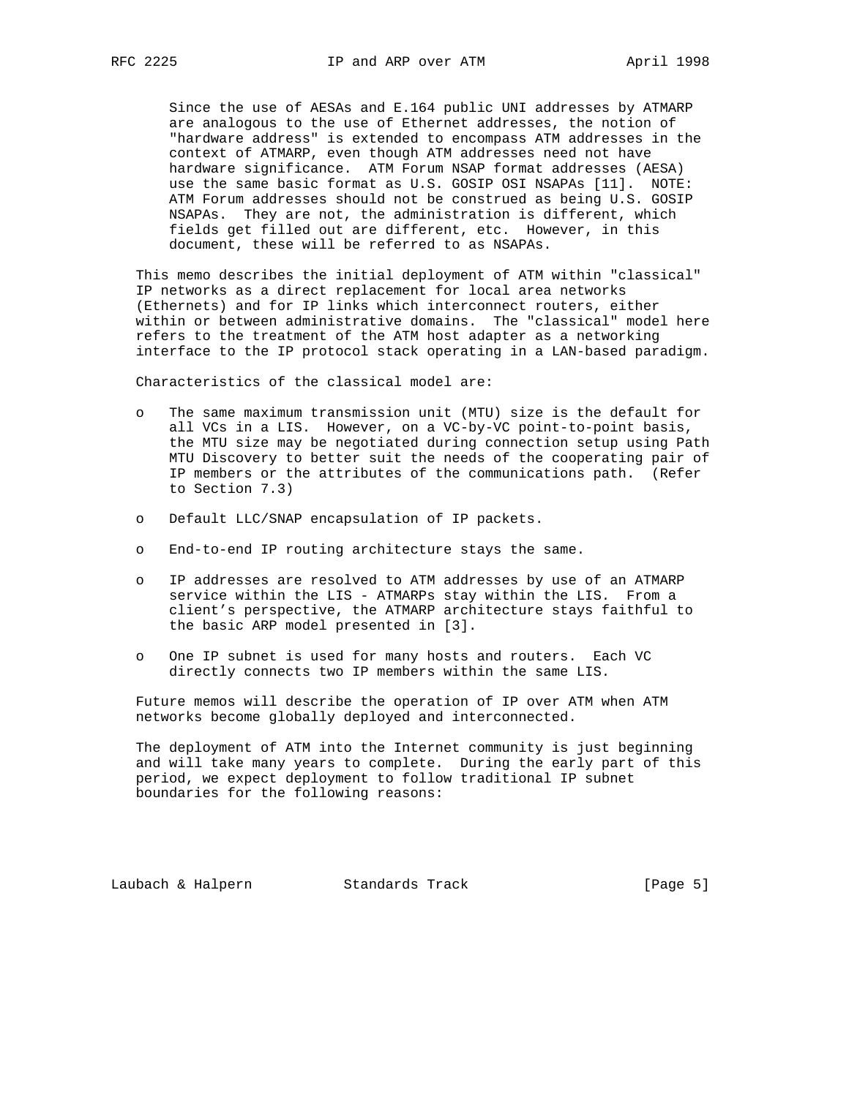Since the use of AESAs and E.164 public UNI addresses by ATMARP are analogous to the use of Ethernet addresses, the notion of "hardware address" is extended to encompass ATM addresses in the context of ATMARP, even though ATM addresses need not have hardware significance. ATM Forum NSAP format addresses (AESA) use the same basic format as U.S. GOSIP OSI NSAPAs [11]. NOTE: ATM Forum addresses should not be construed as being U.S. GOSIP NSAPAs. They are not, the administration is different, which fields get filled out are different, etc. However, in this document, these will be referred to as NSAPAs.

 This memo describes the initial deployment of ATM within "classical" IP networks as a direct replacement for local area networks (Ethernets) and for IP links which interconnect routers, either within or between administrative domains. The "classical" model here refers to the treatment of the ATM host adapter as a networking interface to the IP protocol stack operating in a LAN-based paradigm.

Characteristics of the classical model are:

- o The same maximum transmission unit (MTU) size is the default for all VCs in a LIS. However, on a VC-by-VC point-to-point basis, the MTU size may be negotiated during connection setup using Path MTU Discovery to better suit the needs of the cooperating pair of IP members or the attributes of the communications path. (Refer to Section 7.3)
- o Default LLC/SNAP encapsulation of IP packets.
- o End-to-end IP routing architecture stays the same.
- o IP addresses are resolved to ATM addresses by use of an ATMARP service within the LIS - ATMARPs stay within the LIS. From a client's perspective, the ATMARP architecture stays faithful to the basic ARP model presented in [3].
- o One IP subnet is used for many hosts and routers. Each VC directly connects two IP members within the same LIS.

 Future memos will describe the operation of IP over ATM when ATM networks become globally deployed and interconnected.

 The deployment of ATM into the Internet community is just beginning and will take many years to complete. During the early part of this period, we expect deployment to follow traditional IP subnet boundaries for the following reasons:

Laubach & Halpern Standards Track [Page 5]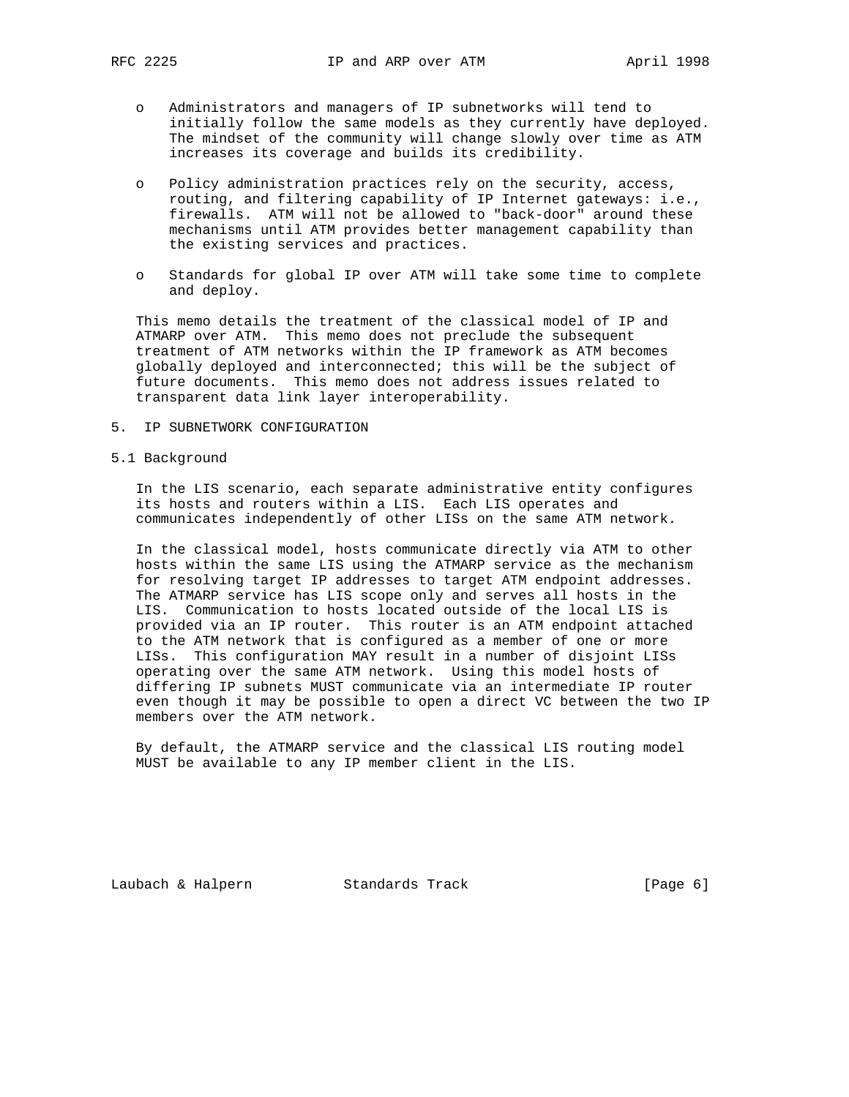- o Administrators and managers of IP subnetworks will tend to initially follow the same models as they currently have deployed. The mindset of the community will change slowly over time as ATM increases its coverage and builds its credibility.
- o Policy administration practices rely on the security, access, routing, and filtering capability of IP Internet gateways: i.e., firewalls. ATM will not be allowed to "back-door" around these mechanisms until ATM provides better management capability than the existing services and practices.
- o Standards for global IP over ATM will take some time to complete and deploy.

 This memo details the treatment of the classical model of IP and ATMARP over ATM. This memo does not preclude the subsequent treatment of ATM networks within the IP framework as ATM becomes globally deployed and interconnected; this will be the subject of future documents. This memo does not address issues related to transparent data link layer interoperability.

- 5. IP SUBNETWORK CONFIGURATION
- 5.1 Background

 In the LIS scenario, each separate administrative entity configures its hosts and routers within a LIS. Each LIS operates and communicates independently of other LISs on the same ATM network.

 In the classical model, hosts communicate directly via ATM to other hosts within the same LIS using the ATMARP service as the mechanism for resolving target IP addresses to target ATM endpoint addresses. The ATMARP service has LIS scope only and serves all hosts in the LIS. Communication to hosts located outside of the local LIS is provided via an IP router. This router is an ATM endpoint attached to the ATM network that is configured as a member of one or more LISs. This configuration MAY result in a number of disjoint LISs operating over the same ATM network. Using this model hosts of differing IP subnets MUST communicate via an intermediate IP router even though it may be possible to open a direct VC between the two IP members over the ATM network.

 By default, the ATMARP service and the classical LIS routing model MUST be available to any IP member client in the LIS.

Laubach & Halpern Standards Track [Page 6]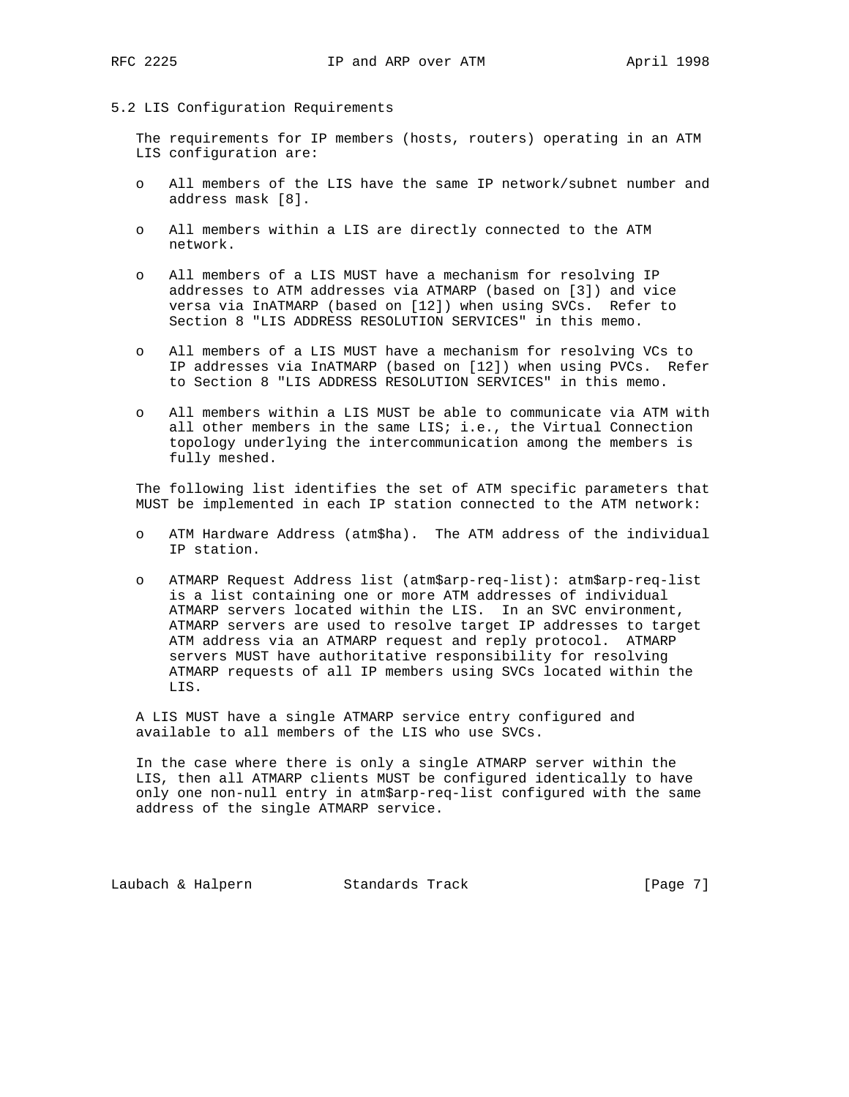### 5.2 LIS Configuration Requirements

 The requirements for IP members (hosts, routers) operating in an ATM LIS configuration are:

- o All members of the LIS have the same IP network/subnet number and address mask [8].
- o All members within a LIS are directly connected to the ATM network.
- o All members of a LIS MUST have a mechanism for resolving IP addresses to ATM addresses via ATMARP (based on [3]) and vice versa via InATMARP (based on [12]) when using SVCs. Refer to Section 8 "LIS ADDRESS RESOLUTION SERVICES" in this memo.
- o All members of a LIS MUST have a mechanism for resolving VCs to IP addresses via InATMARP (based on [12]) when using PVCs. Refer to Section 8 "LIS ADDRESS RESOLUTION SERVICES" in this memo.
- o All members within a LIS MUST be able to communicate via ATM with all other members in the same LIS; i.e., the Virtual Connection topology underlying the intercommunication among the members is fully meshed.

 The following list identifies the set of ATM specific parameters that MUST be implemented in each IP station connected to the ATM network:

- o ATM Hardware Address (atm\$ha). The ATM address of the individual IP station.
- o ATMARP Request Address list (atm\$arp-req-list): atm\$arp-req-list is a list containing one or more ATM addresses of individual ATMARP servers located within the LIS. In an SVC environment, ATMARP servers are used to resolve target IP addresses to target ATM address via an ATMARP request and reply protocol. ATMARP servers MUST have authoritative responsibility for resolving ATMARP requests of all IP members using SVCs located within the LIS.

 A LIS MUST have a single ATMARP service entry configured and available to all members of the LIS who use SVCs.

 In the case where there is only a single ATMARP server within the LIS, then all ATMARP clients MUST be configured identically to have only one non-null entry in atm\$arp-req-list configured with the same address of the single ATMARP service.

Laubach & Halpern Standards Track [Page 7]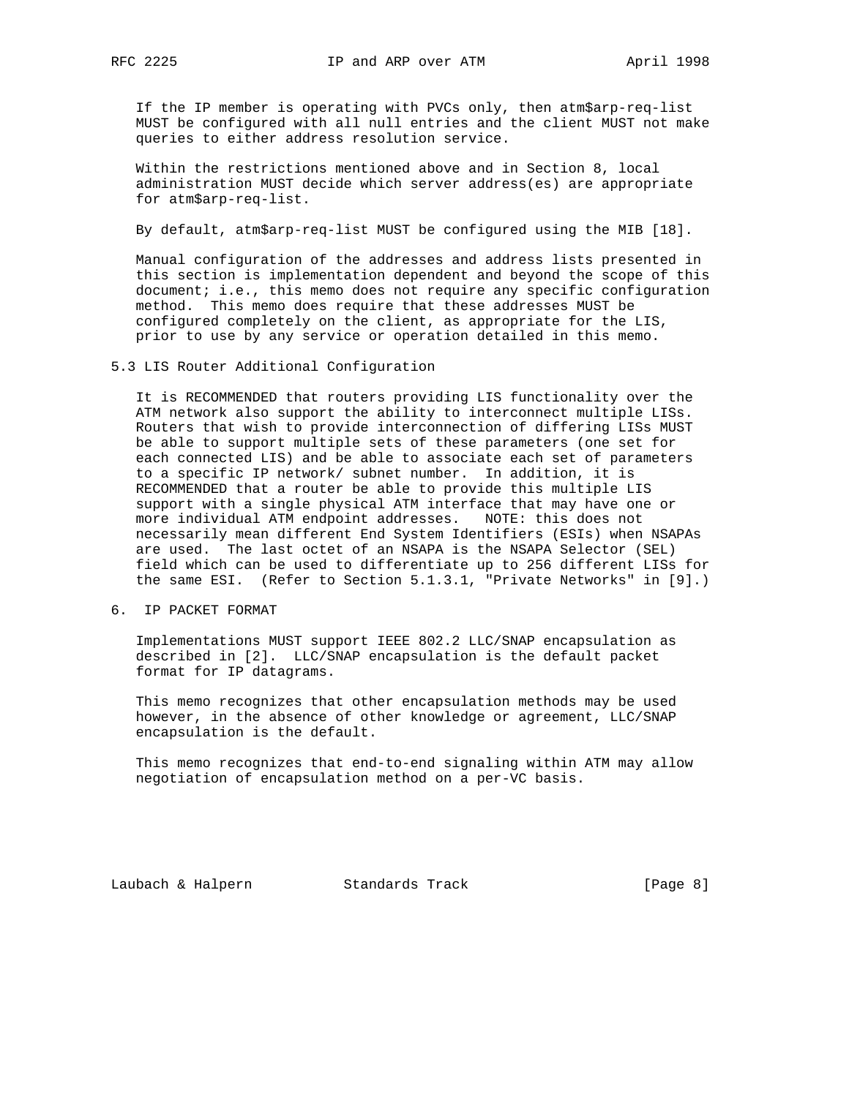If the IP member is operating with PVCs only, then atm\$arp-req-list MUST be configured with all null entries and the client MUST not make queries to either address resolution service.

 Within the restrictions mentioned above and in Section 8, local administration MUST decide which server address(es) are appropriate for atm\$arp-req-list.

By default, atm\$arp-req-list MUST be configured using the MIB [18].

 Manual configuration of the addresses and address lists presented in this section is implementation dependent and beyond the scope of this document; i.e., this memo does not require any specific configuration method. This memo does require that these addresses MUST be configured completely on the client, as appropriate for the LIS, prior to use by any service or operation detailed in this memo.

5.3 LIS Router Additional Configuration

 It is RECOMMENDED that routers providing LIS functionality over the ATM network also support the ability to interconnect multiple LISs. Routers that wish to provide interconnection of differing LISs MUST be able to support multiple sets of these parameters (one set for each connected LIS) and be able to associate each set of parameters to a specific IP network/ subnet number. In addition, it is RECOMMENDED that a router be able to provide this multiple LIS support with a single physical ATM interface that may have one or more individual ATM endpoint addresses. NOTE: this does not necessarily mean different End System Identifiers (ESIs) when NSAPAs are used. The last octet of an NSAPA is the NSAPA Selector (SEL) field which can be used to differentiate up to 256 different LISs for the same ESI. (Refer to Section 5.1.3.1, "Private Networks" in [9].)

6. IP PACKET FORMAT

 Implementations MUST support IEEE 802.2 LLC/SNAP encapsulation as described in [2]. LLC/SNAP encapsulation is the default packet format for IP datagrams.

 This memo recognizes that other encapsulation methods may be used however, in the absence of other knowledge or agreement, LLC/SNAP encapsulation is the default.

 This memo recognizes that end-to-end signaling within ATM may allow negotiation of encapsulation method on a per-VC basis.

Laubach & Halpern Standards Track [Page 8]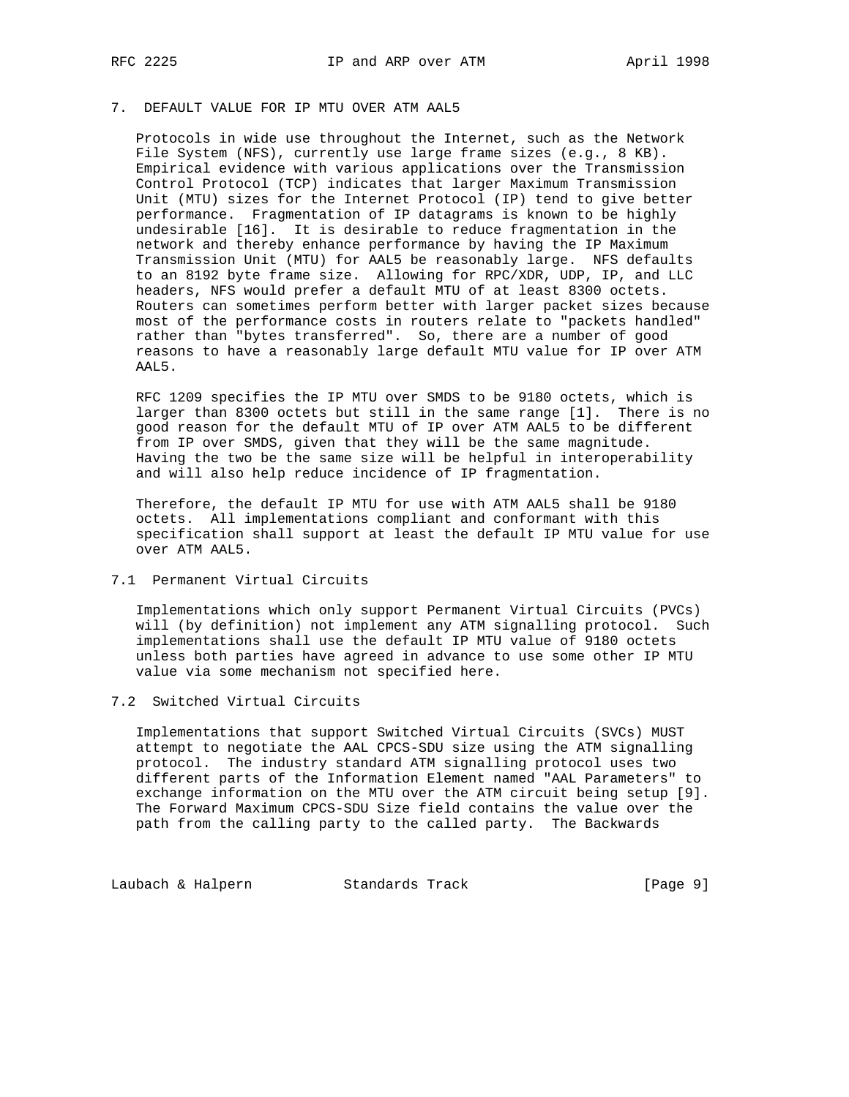# 7. DEFAULT VALUE FOR IP MTU OVER ATM AAL5

 Protocols in wide use throughout the Internet, such as the Network File System (NFS), currently use large frame sizes (e.g., 8 KB). Empirical evidence with various applications over the Transmission Control Protocol (TCP) indicates that larger Maximum Transmission Unit (MTU) sizes for the Internet Protocol (IP) tend to give better performance. Fragmentation of IP datagrams is known to be highly undesirable [16]. It is desirable to reduce fragmentation in the network and thereby enhance performance by having the IP Maximum Transmission Unit (MTU) for AAL5 be reasonably large. NFS defaults to an 8192 byte frame size. Allowing for RPC/XDR, UDP, IP, and LLC headers, NFS would prefer a default MTU of at least 8300 octets. Routers can sometimes perform better with larger packet sizes because most of the performance costs in routers relate to "packets handled" rather than "bytes transferred". So, there are a number of good reasons to have a reasonably large default MTU value for IP over ATM AAL5.

 RFC 1209 specifies the IP MTU over SMDS to be 9180 octets, which is larger than 8300 octets but still in the same range [1]. There is no good reason for the default MTU of IP over ATM AAL5 to be different from IP over SMDS, given that they will be the same magnitude. Having the two be the same size will be helpful in interoperability and will also help reduce incidence of IP fragmentation.

 Therefore, the default IP MTU for use with ATM AAL5 shall be 9180 octets. All implementations compliant and conformant with this specification shall support at least the default IP MTU value for use over ATM AAL5.

# 7.1 Permanent Virtual Circuits

 Implementations which only support Permanent Virtual Circuits (PVCs) will (by definition) not implement any ATM signalling protocol. Such implementations shall use the default IP MTU value of 9180 octets unless both parties have agreed in advance to use some other IP MTU value via some mechanism not specified here.

## 7.2 Switched Virtual Circuits

 Implementations that support Switched Virtual Circuits (SVCs) MUST attempt to negotiate the AAL CPCS-SDU size using the ATM signalling protocol. The industry standard ATM signalling protocol uses two different parts of the Information Element named "AAL Parameters" to exchange information on the MTU over the ATM circuit being setup [9]. The Forward Maximum CPCS-SDU Size field contains the value over the path from the calling party to the called party. The Backwards

Laubach & Halpern Standards Track [Page 9]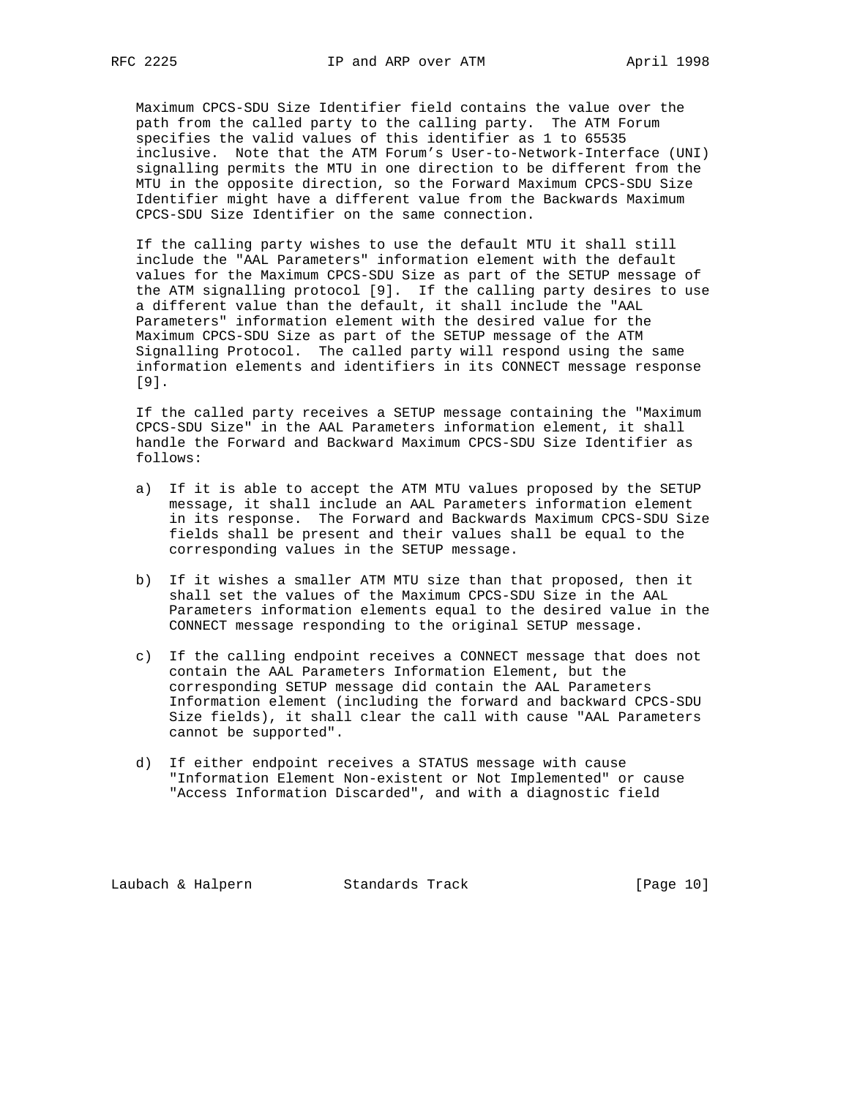Maximum CPCS-SDU Size Identifier field contains the value over the path from the called party to the calling party. The ATM Forum specifies the valid values of this identifier as 1 to 65535 inclusive. Note that the ATM Forum's User-to-Network-Interface (UNI) signalling permits the MTU in one direction to be different from the MTU in the opposite direction, so the Forward Maximum CPCS-SDU Size Identifier might have a different value from the Backwards Maximum CPCS-SDU Size Identifier on the same connection.

 If the calling party wishes to use the default MTU it shall still include the "AAL Parameters" information element with the default values for the Maximum CPCS-SDU Size as part of the SETUP message of the ATM signalling protocol [9]. If the calling party desires to use a different value than the default, it shall include the "AAL Parameters" information element with the desired value for the Maximum CPCS-SDU Size as part of the SETUP message of the ATM Signalling Protocol. The called party will respond using the same information elements and identifiers in its CONNECT message response [9].

 If the called party receives a SETUP message containing the "Maximum CPCS-SDU Size" in the AAL Parameters information element, it shall handle the Forward and Backward Maximum CPCS-SDU Size Identifier as follows:

- a) If it is able to accept the ATM MTU values proposed by the SETUP message, it shall include an AAL Parameters information element in its response. The Forward and Backwards Maximum CPCS-SDU Size fields shall be present and their values shall be equal to the corresponding values in the SETUP message.
- b) If it wishes a smaller ATM MTU size than that proposed, then it shall set the values of the Maximum CPCS-SDU Size in the AAL Parameters information elements equal to the desired value in the CONNECT message responding to the original SETUP message.
- c) If the calling endpoint receives a CONNECT message that does not contain the AAL Parameters Information Element, but the corresponding SETUP message did contain the AAL Parameters Information element (including the forward and backward CPCS-SDU Size fields), it shall clear the call with cause "AAL Parameters cannot be supported".
- d) If either endpoint receives a STATUS message with cause "Information Element Non-existent or Not Implemented" or cause "Access Information Discarded", and with a diagnostic field

Laubach & Halpern Standards Track [Page 10]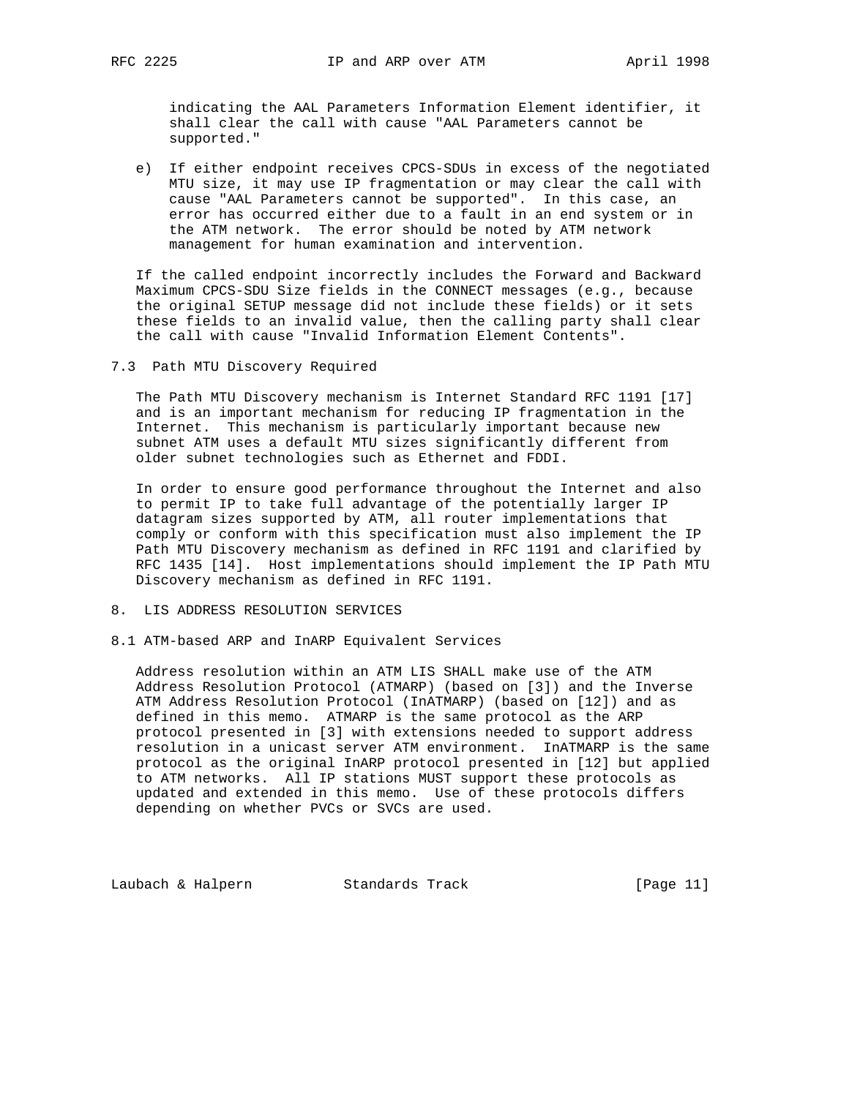indicating the AAL Parameters Information Element identifier, it shall clear the call with cause "AAL Parameters cannot be supported."

 e) If either endpoint receives CPCS-SDUs in excess of the negotiated MTU size, it may use IP fragmentation or may clear the call with cause "AAL Parameters cannot be supported". In this case, an error has occurred either due to a fault in an end system or in the ATM network. The error should be noted by ATM network management for human examination and intervention.

 If the called endpoint incorrectly includes the Forward and Backward Maximum CPCS-SDU Size fields in the CONNECT messages (e.g., because the original SETUP message did not include these fields) or it sets these fields to an invalid value, then the calling party shall clear the call with cause "Invalid Information Element Contents".

7.3 Path MTU Discovery Required

 The Path MTU Discovery mechanism is Internet Standard RFC 1191 [17] and is an important mechanism for reducing IP fragmentation in the Internet. This mechanism is particularly important because new subnet ATM uses a default MTU sizes significantly different from older subnet technologies such as Ethernet and FDDI.

 In order to ensure good performance throughout the Internet and also to permit IP to take full advantage of the potentially larger IP datagram sizes supported by ATM, all router implementations that comply or conform with this specification must also implement the IP Path MTU Discovery mechanism as defined in RFC 1191 and clarified by RFC 1435 [14]. Host implementations should implement the IP Path MTU Discovery mechanism as defined in RFC 1191.

- 8. LIS ADDRESS RESOLUTION SERVICES
- 8.1 ATM-based ARP and InARP Equivalent Services

 Address resolution within an ATM LIS SHALL make use of the ATM Address Resolution Protocol (ATMARP) (based on [3]) and the Inverse ATM Address Resolution Protocol (InATMARP) (based on [12]) and as defined in this memo. ATMARP is the same protocol as the ARP protocol presented in [3] with extensions needed to support address resolution in a unicast server ATM environment. InATMARP is the same protocol as the original InARP protocol presented in [12] but applied to ATM networks. All IP stations MUST support these protocols as updated and extended in this memo. Use of these protocols differs depending on whether PVCs or SVCs are used.

Laubach & Halpern Standards Track [Page 11]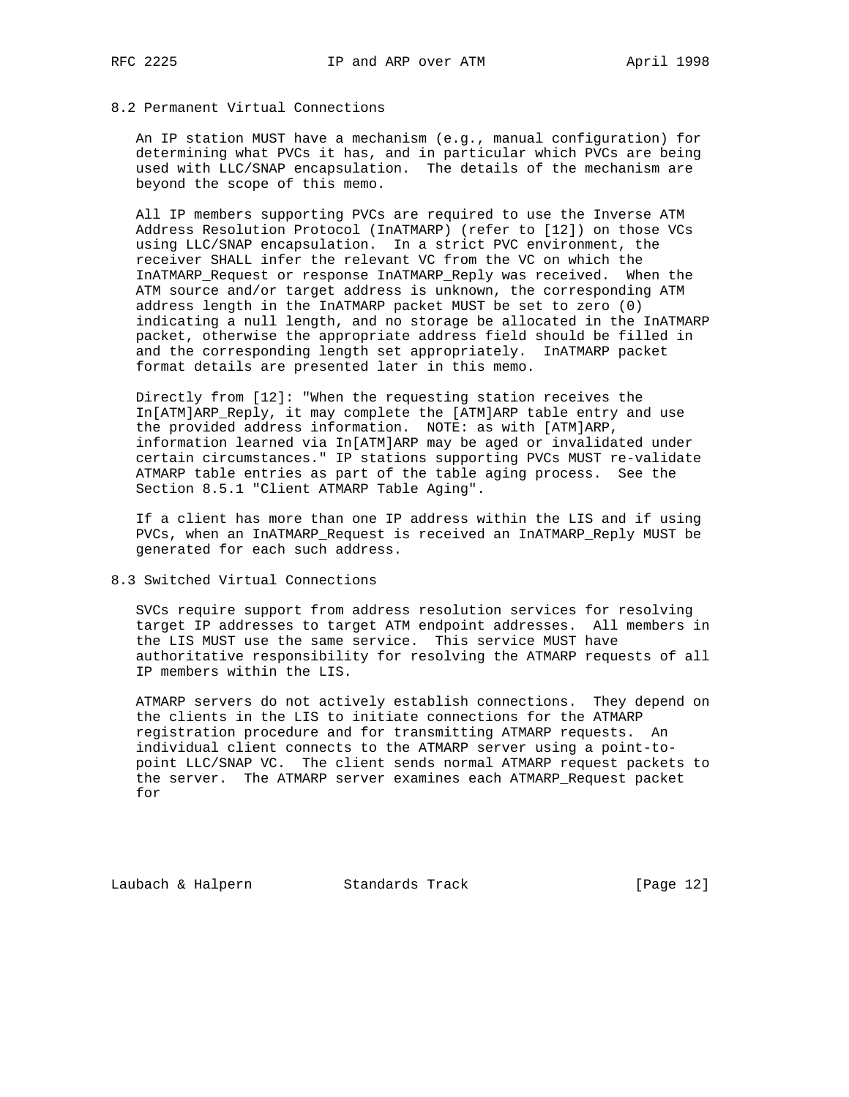# 8.2 Permanent Virtual Connections

 An IP station MUST have a mechanism (e.g., manual configuration) for determining what PVCs it has, and in particular which PVCs are being used with LLC/SNAP encapsulation. The details of the mechanism are beyond the scope of this memo.

 All IP members supporting PVCs are required to use the Inverse ATM Address Resolution Protocol (InATMARP) (refer to [12]) on those VCs using LLC/SNAP encapsulation. In a strict PVC environment, the receiver SHALL infer the relevant VC from the VC on which the InATMARP\_Request or response InATMARP\_Reply was received. When the ATM source and/or target address is unknown, the corresponding ATM address length in the InATMARP packet MUST be set to zero (0) indicating a null length, and no storage be allocated in the InATMARP packet, otherwise the appropriate address field should be filled in and the corresponding length set appropriately. InATMARP packet format details are presented later in this memo.

 Directly from [12]: "When the requesting station receives the In[ATM]ARP\_Reply, it may complete the [ATM]ARP table entry and use the provided address information. NOTE: as with [ATM]ARP, information learned via In[ATM]ARP may be aged or invalidated under certain circumstances." IP stations supporting PVCs MUST re-validate ATMARP table entries as part of the table aging process. See the Section 8.5.1 "Client ATMARP Table Aging".

 If a client has more than one IP address within the LIS and if using PVCs, when an InATMARP\_Request is received an InATMARP\_Reply MUST be generated for each such address.

8.3 Switched Virtual Connections

 SVCs require support from address resolution services for resolving target IP addresses to target ATM endpoint addresses. All members in the LIS MUST use the same service. This service MUST have authoritative responsibility for resolving the ATMARP requests of all IP members within the LIS.

 ATMARP servers do not actively establish connections. They depend on the clients in the LIS to initiate connections for the ATMARP registration procedure and for transmitting ATMARP requests. An individual client connects to the ATMARP server using a point-to point LLC/SNAP VC. The client sends normal ATMARP request packets to the server. The ATMARP server examines each ATMARP\_Request packet for

Laubach & Halpern Standards Track [Page 12]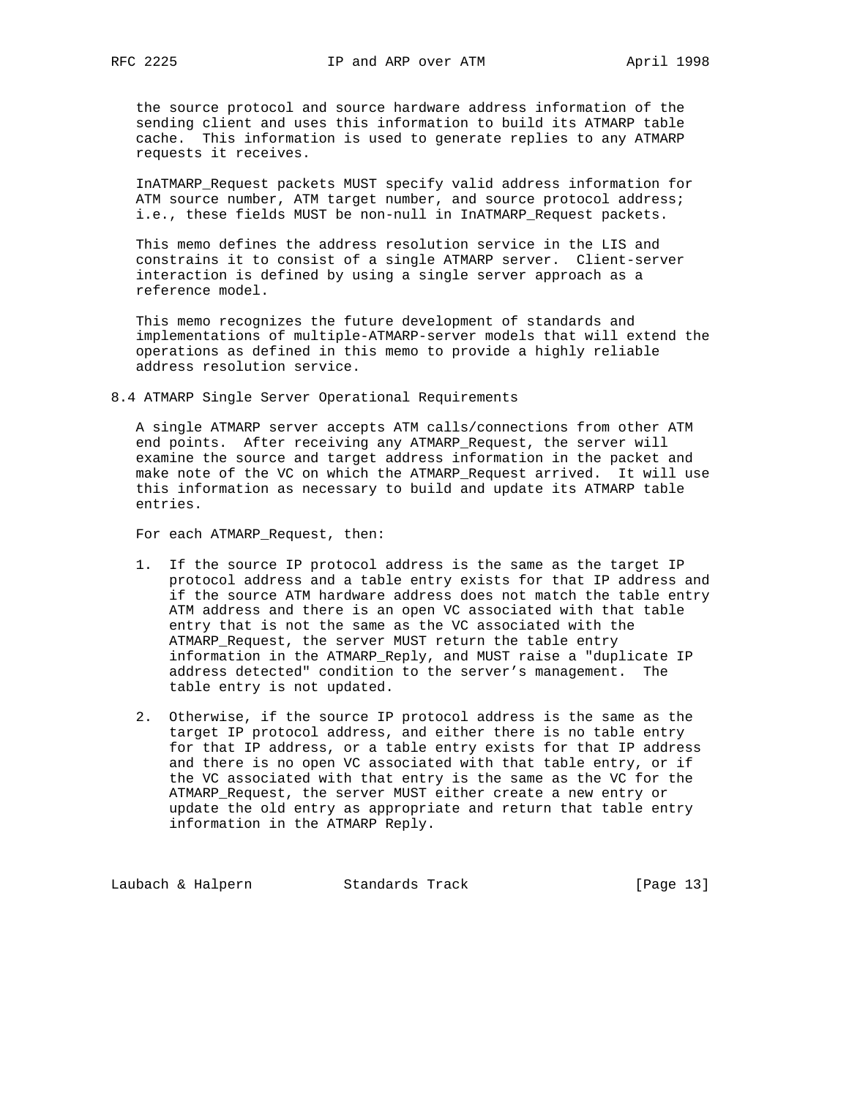the source protocol and source hardware address information of the sending client and uses this information to build its ATMARP table cache. This information is used to generate replies to any ATMARP requests it receives.

 InATMARP\_Request packets MUST specify valid address information for ATM source number, ATM target number, and source protocol address; i.e., these fields MUST be non-null in InATMARP\_Request packets.

 This memo defines the address resolution service in the LIS and constrains it to consist of a single ATMARP server. Client-server interaction is defined by using a single server approach as a reference model.

 This memo recognizes the future development of standards and implementations of multiple-ATMARP-server models that will extend the operations as defined in this memo to provide a highly reliable address resolution service.

8.4 ATMARP Single Server Operational Requirements

 A single ATMARP server accepts ATM calls/connections from other ATM end points. After receiving any ATMARP\_Request, the server will examine the source and target address information in the packet and make note of the VC on which the ATMARP\_Request arrived. It will use this information as necessary to build and update its ATMARP table entries.

For each ATMARP\_Request, then:

- 1. If the source IP protocol address is the same as the target IP protocol address and a table entry exists for that IP address and if the source ATM hardware address does not match the table entry ATM address and there is an open VC associated with that table entry that is not the same as the VC associated with the ATMARP\_Request, the server MUST return the table entry information in the ATMARP\_Reply, and MUST raise a "duplicate IP address detected" condition to the server's management. The table entry is not updated.
- 2. Otherwise, if the source IP protocol address is the same as the target IP protocol address, and either there is no table entry for that IP address, or a table entry exists for that IP address and there is no open VC associated with that table entry, or if the VC associated with that entry is the same as the VC for the ATMARP\_Request, the server MUST either create a new entry or update the old entry as appropriate and return that table entry information in the ATMARP Reply.

Laubach & Halpern Standards Track [Page 13]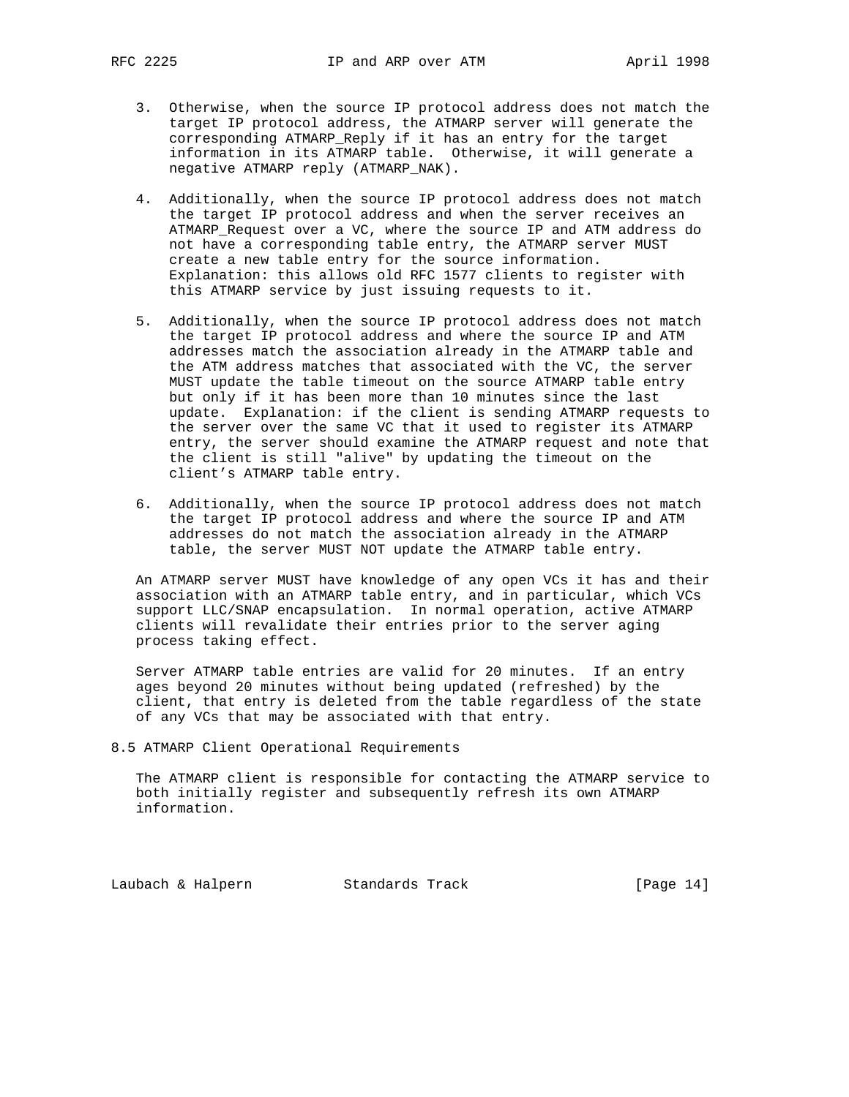- 3. Otherwise, when the source IP protocol address does not match the target IP protocol address, the ATMARP server will generate the corresponding ATMARP\_Reply if it has an entry for the target information in its ATMARP table. Otherwise, it will generate a negative ATMARP reply (ATMARP\_NAK).
- 4. Additionally, when the source IP protocol address does not match the target IP protocol address and when the server receives an ATMARP\_Request over a VC, where the source IP and ATM address do not have a corresponding table entry, the ATMARP server MUST create a new table entry for the source information. Explanation: this allows old RFC 1577 clients to register with this ATMARP service by just issuing requests to it.
- 5. Additionally, when the source IP protocol address does not match the target IP protocol address and where the source IP and ATM addresses match the association already in the ATMARP table and the ATM address matches that associated with the VC, the server MUST update the table timeout on the source ATMARP table entry but only if it has been more than 10 minutes since the last update. Explanation: if the client is sending ATMARP requests to the server over the same VC that it used to register its ATMARP entry, the server should examine the ATMARP request and note that the client is still "alive" by updating the timeout on the client's ATMARP table entry.
- 6. Additionally, when the source IP protocol address does not match the target IP protocol address and where the source IP and ATM addresses do not match the association already in the ATMARP table, the server MUST NOT update the ATMARP table entry.

 An ATMARP server MUST have knowledge of any open VCs it has and their association with an ATMARP table entry, and in particular, which VCs support LLC/SNAP encapsulation. In normal operation, active ATMARP clients will revalidate their entries prior to the server aging process taking effect.

 Server ATMARP table entries are valid for 20 minutes. If an entry ages beyond 20 minutes without being updated (refreshed) by the client, that entry is deleted from the table regardless of the state of any VCs that may be associated with that entry.

8.5 ATMARP Client Operational Requirements

 The ATMARP client is responsible for contacting the ATMARP service to both initially register and subsequently refresh its own ATMARP information.

Laubach & Halpern Standards Track [Page 14]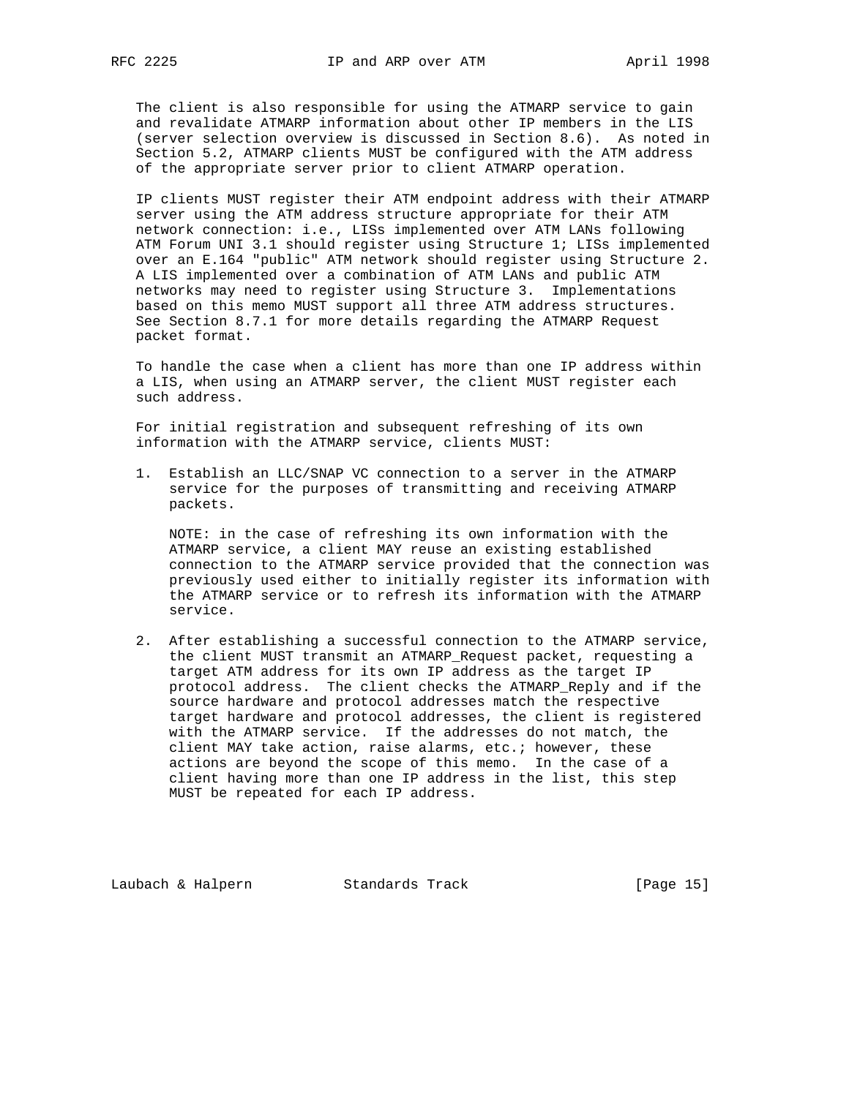The client is also responsible for using the ATMARP service to gain and revalidate ATMARP information about other IP members in the LIS (server selection overview is discussed in Section 8.6). As noted in Section 5.2, ATMARP clients MUST be configured with the ATM address of the appropriate server prior to client ATMARP operation.

 IP clients MUST register their ATM endpoint address with their ATMARP server using the ATM address structure appropriate for their ATM network connection: i.e., LISs implemented over ATM LANs following ATM Forum UNI 3.1 should register using Structure 1; LISs implemented over an E.164 "public" ATM network should register using Structure 2. A LIS implemented over a combination of ATM LANs and public ATM networks may need to register using Structure 3. Implementations based on this memo MUST support all three ATM address structures. See Section 8.7.1 for more details regarding the ATMARP Request packet format.

 To handle the case when a client has more than one IP address within a LIS, when using an ATMARP server, the client MUST register each such address.

 For initial registration and subsequent refreshing of its own information with the ATMARP service, clients MUST:

 1. Establish an LLC/SNAP VC connection to a server in the ATMARP service for the purposes of transmitting and receiving ATMARP packets.

 NOTE: in the case of refreshing its own information with the ATMARP service, a client MAY reuse an existing established connection to the ATMARP service provided that the connection was previously used either to initially register its information with the ATMARP service or to refresh its information with the ATMARP service.

 2. After establishing a successful connection to the ATMARP service, the client MUST transmit an ATMARP\_Request packet, requesting a target ATM address for its own IP address as the target IP protocol address. The client checks the ATMARP\_Reply and if the source hardware and protocol addresses match the respective target hardware and protocol addresses, the client is registered with the ATMARP service. If the addresses do not match, the client MAY take action, raise alarms, etc.; however, these actions are beyond the scope of this memo. In the case of a client having more than one IP address in the list, this step MUST be repeated for each IP address.

Laubach & Halpern Standards Track [Page 15]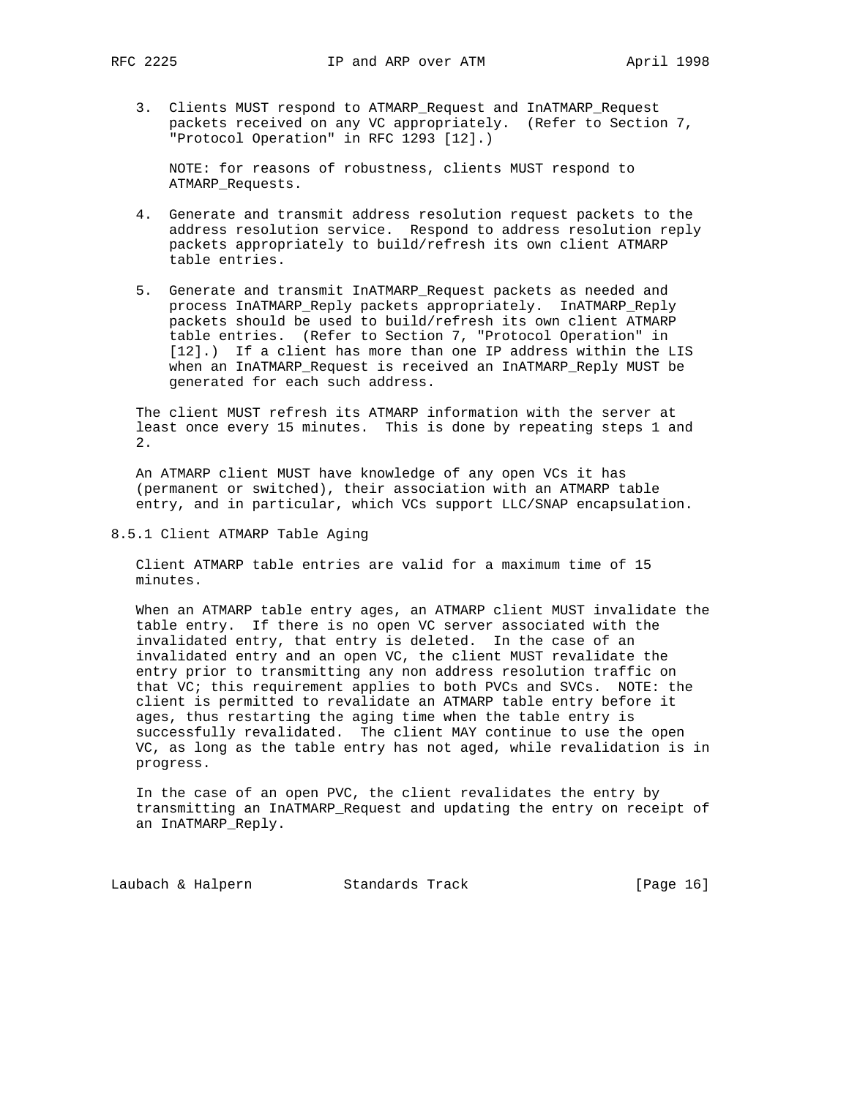3. Clients MUST respond to ATMARP\_Request and InATMARP\_Request packets received on any VC appropriately. (Refer to Section 7, "Protocol Operation" in RFC 1293 [12].)

 NOTE: for reasons of robustness, clients MUST respond to ATMARP\_Requests.

- 4. Generate and transmit address resolution request packets to the address resolution service. Respond to address resolution reply packets appropriately to build/refresh its own client ATMARP table entries.
- 5. Generate and transmit InATMARP\_Request packets as needed and process InATMARP\_Reply packets appropriately. InATMARP\_Reply packets should be used to build/refresh its own client ATMARP table entries. (Refer to Section 7, "Protocol Operation" in [12].) If a client has more than one IP address within the LIS when an InATMARP\_Request is received an InATMARP\_Reply MUST be generated for each such address.

 The client MUST refresh its ATMARP information with the server at least once every 15 minutes. This is done by repeating steps 1 and 2.

 An ATMARP client MUST have knowledge of any open VCs it has (permanent or switched), their association with an ATMARP table entry, and in particular, which VCs support LLC/SNAP encapsulation.

8.5.1 Client ATMARP Table Aging

 Client ATMARP table entries are valid for a maximum time of 15 minutes.

 When an ATMARP table entry ages, an ATMARP client MUST invalidate the table entry. If there is no open VC server associated with the invalidated entry, that entry is deleted. In the case of an invalidated entry and an open VC, the client MUST revalidate the entry prior to transmitting any non address resolution traffic on that VC; this requirement applies to both PVCs and SVCs. NOTE: the client is permitted to revalidate an ATMARP table entry before it ages, thus restarting the aging time when the table entry is successfully revalidated. The client MAY continue to use the open VC, as long as the table entry has not aged, while revalidation is in progress.

 In the case of an open PVC, the client revalidates the entry by transmitting an InATMARP\_Request and updating the entry on receipt of an InATMARP\_Reply.

Laubach & Halpern Standards Track [Page 16]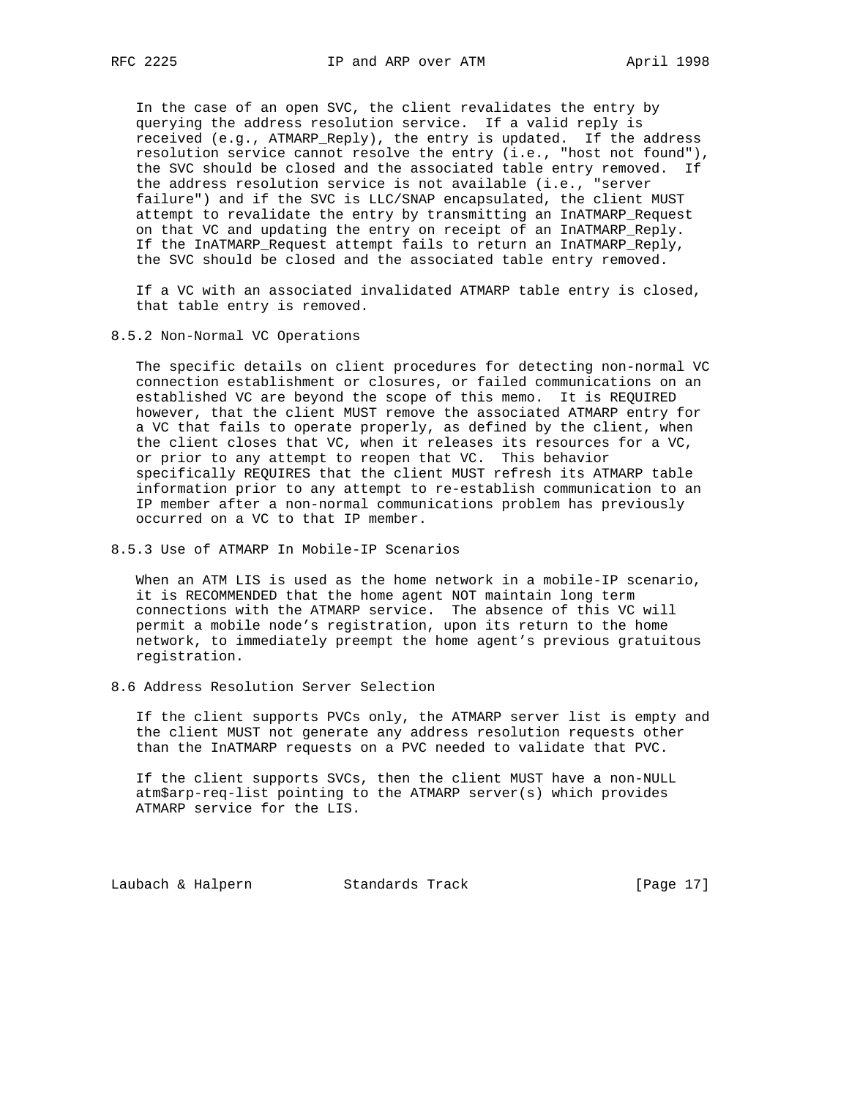In the case of an open SVC, the client revalidates the entry by querying the address resolution service. If a valid reply is received (e.g., ATMARP\_Reply), the entry is updated. If the address resolution service cannot resolve the entry (i.e., "host not found"), the SVC should be closed and the associated table entry removed. If the address resolution service is not available (i.e., "server failure") and if the SVC is LLC/SNAP encapsulated, the client MUST attempt to revalidate the entry by transmitting an InATMARP\_Request on that VC and updating the entry on receipt of an InATMARP\_Reply. If the InATMARP\_Request attempt fails to return an InATMARP\_Reply, the SVC should be closed and the associated table entry removed.

 If a VC with an associated invalidated ATMARP table entry is closed, that table entry is removed.

8.5.2 Non-Normal VC Operations

 The specific details on client procedures for detecting non-normal VC connection establishment or closures, or failed communications on an established VC are beyond the scope of this memo. It is REQUIRED however, that the client MUST remove the associated ATMARP entry for a VC that fails to operate properly, as defined by the client, when the client closes that VC, when it releases its resources for a VC, or prior to any attempt to reopen that VC. This behavior specifically REQUIRES that the client MUST refresh its ATMARP table information prior to any attempt to re-establish communication to an IP member after a non-normal communications problem has previously occurred on a VC to that IP member.

8.5.3 Use of ATMARP In Mobile-IP Scenarios

 When an ATM LIS is used as the home network in a mobile-IP scenario, it is RECOMMENDED that the home agent NOT maintain long term connections with the ATMARP service. The absence of this VC will permit a mobile node's registration, upon its return to the home network, to immediately preempt the home agent's previous gratuitous registration.

8.6 Address Resolution Server Selection

 If the client supports PVCs only, the ATMARP server list is empty and the client MUST not generate any address resolution requests other than the InATMARP requests on a PVC needed to validate that PVC.

 If the client supports SVCs, then the client MUST have a non-NULL atm\$arp-req-list pointing to the ATMARP server(s) which provides ATMARP service for the LIS.

Laubach & Halpern Standards Track [Page 17]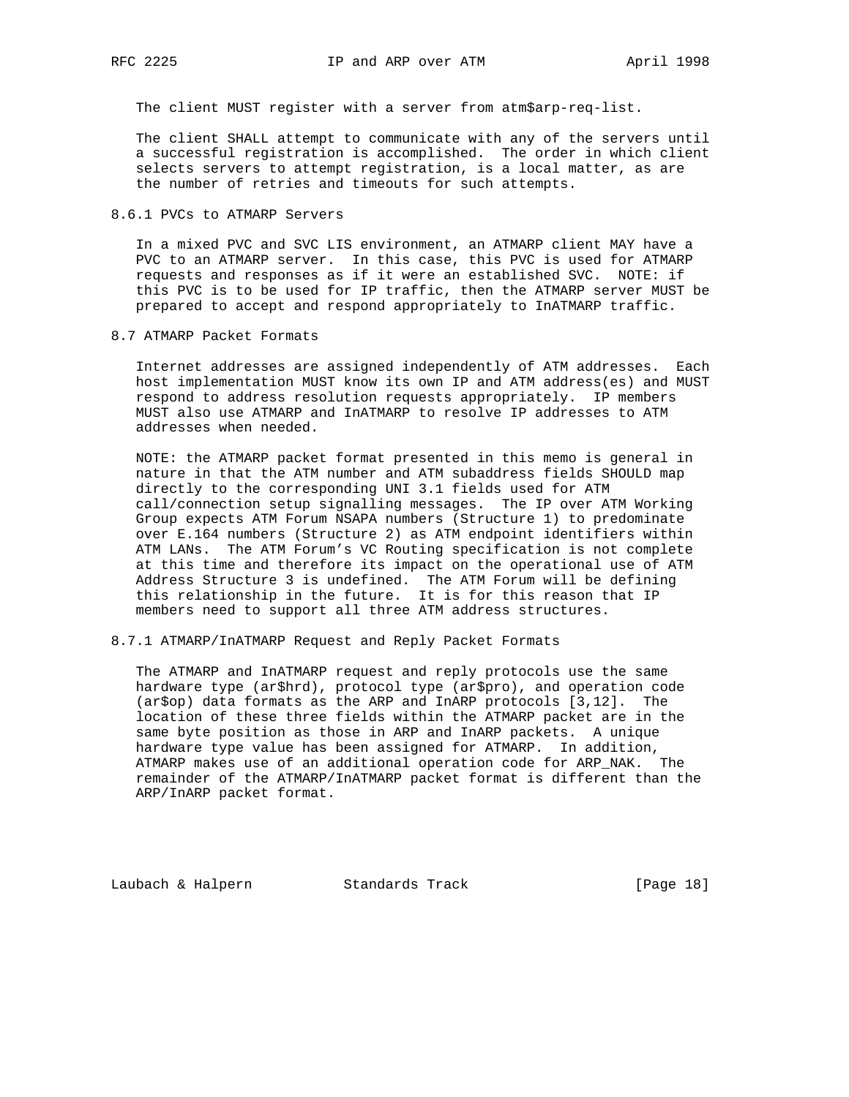The client MUST register with a server from atm\$arp-req-list.

 The client SHALL attempt to communicate with any of the servers until a successful registration is accomplished. The order in which client selects servers to attempt registration, is a local matter, as are the number of retries and timeouts for such attempts.

8.6.1 PVCs to ATMARP Servers

 In a mixed PVC and SVC LIS environment, an ATMARP client MAY have a PVC to an ATMARP server. In this case, this PVC is used for ATMARP requests and responses as if it were an established SVC. NOTE: if this PVC is to be used for IP traffic, then the ATMARP server MUST be prepared to accept and respond appropriately to InATMARP traffic.

8.7 ATMARP Packet Formats

 Internet addresses are assigned independently of ATM addresses. Each host implementation MUST know its own IP and ATM address(es) and MUST respond to address resolution requests appropriately. IP members MUST also use ATMARP and InATMARP to resolve IP addresses to ATM addresses when needed.

 NOTE: the ATMARP packet format presented in this memo is general in nature in that the ATM number and ATM subaddress fields SHOULD map directly to the corresponding UNI 3.1 fields used for ATM call/connection setup signalling messages. The IP over ATM Working Group expects ATM Forum NSAPA numbers (Structure 1) to predominate over E.164 numbers (Structure 2) as ATM endpoint identifiers within ATM LANs. The ATM Forum's VC Routing specification is not complete at this time and therefore its impact on the operational use of ATM Address Structure 3 is undefined. The ATM Forum will be defining this relationship in the future. It is for this reason that IP members need to support all three ATM address structures.

8.7.1 ATMARP/InATMARP Request and Reply Packet Formats

 The ATMARP and InATMARP request and reply protocols use the same hardware type (ar\$hrd), protocol type (ar\$pro), and operation code (ar\$op) data formats as the ARP and InARP protocols [3,12]. The location of these three fields within the ATMARP packet are in the same byte position as those in ARP and InARP packets. A unique hardware type value has been assigned for ATMARP. In addition, ATMARP makes use of an additional operation code for ARP\_NAK. The remainder of the ATMARP/InATMARP packet format is different than the ARP/InARP packet format.

Laubach & Halpern Standards Track [Page 18]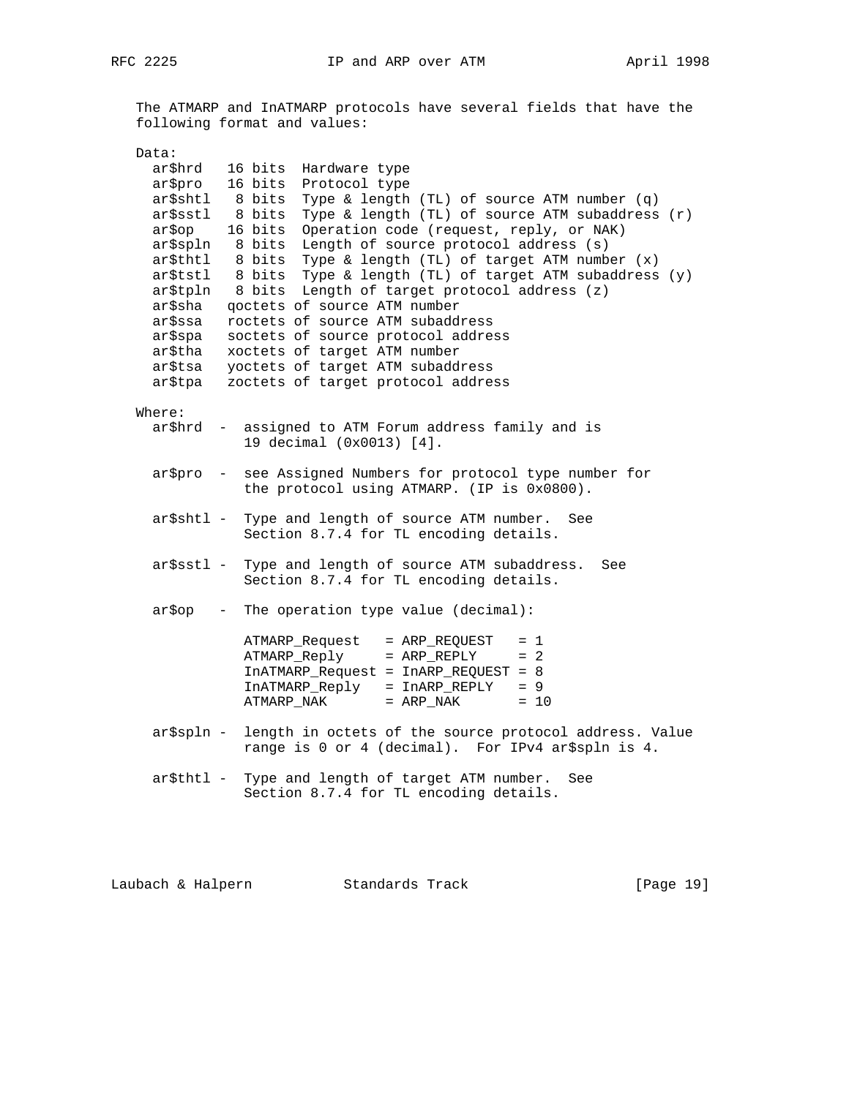The ATMARP and InATMARP protocols have several fields that have the following format and values:

| Data:                                                    |                                                                                                                                                                                                         |
|----------------------------------------------------------|---------------------------------------------------------------------------------------------------------------------------------------------------------------------------------------------------------|
| ar\$hrd                                                  | 16 bits<br>Hardware type                                                                                                                                                                                |
| ar\$pro                                                  | 16 bits<br>Protocol type                                                                                                                                                                                |
| ar\$shtl 8 bits<br>ar\$sstl<br>ar\$op<br>ar\$spln 8 bits | Type & length (TL) of source ATM number (q)<br>Type & length (TL) of source ATM subaddress (r)<br>8 bits<br>16 bits<br>Operation code (request, reply, or NAK)<br>Length of source protocol address (s) |
| ar\$thtl<br>ar\$tstl                                     | Type & length (TL) of target ATM number (x)<br>8 bits<br>8 bits Type & length (TL) of target ATM subaddress (y)                                                                                         |
| ar\$sha                                                  | ar\$tpln 8 bits Length of target protocol address (z)<br>goctets of source ATM number                                                                                                                   |
| ar\$ssa                                                  | roctets of source ATM subaddress                                                                                                                                                                        |
| ar\$spa<br>ar\$tha                                       | soctets of source protocol address<br>xoctets of target ATM number                                                                                                                                      |
| ar\$tsa                                                  | yoctets of target ATM subaddress                                                                                                                                                                        |
| ar\$tpa                                                  | zoctets of target protocol address                                                                                                                                                                      |
| Where:                                                   |                                                                                                                                                                                                         |
| ar\$hrd                                                  | - assigned to ATM Forum address family and is<br>19 decimal (0x0013) [4].                                                                                                                               |
| ar\$pro                                                  | - see Assigned Numbers for protocol type number for<br>the protocol using ATMARP. (IP is 0x0800).                                                                                                       |
| ar\$shtl -                                               | Type and length of source ATM number. See<br>Section 8.7.4 for TL encoding details.                                                                                                                     |
| ar\$sstl –                                               | Type and length of source ATM subaddress.<br>See<br>Section 8.7.4 for TL encoding details.                                                                                                              |
| ar\$op                                                   | - The operation type value (decimal):                                                                                                                                                                   |
|                                                          | ATMARP_Request = ARP_REQUEST<br>$= 1$<br>ATMARP_Reply = ARP_REPLY<br>$= 2$<br>InATMARP_Request = InARP_REQUEST = 8<br>InATMARP_Reply = InARP_REPLY = 9<br>$=$ ARP_NAK<br>ATMARP_NAK<br>$= 10$           |
| ar\$spln -                                               | length in octets of the source protocol address. Value<br>range is 0 or 4 (decimal). For IPv4 ar\$spln is 4.                                                                                            |
|                                                          | ar\$thtl - Type and length of target ATM number.<br>See<br>Section 8.7.4 for TL encoding details.                                                                                                       |
|                                                          |                                                                                                                                                                                                         |

Laubach & Halpern Standards Track [Page 19]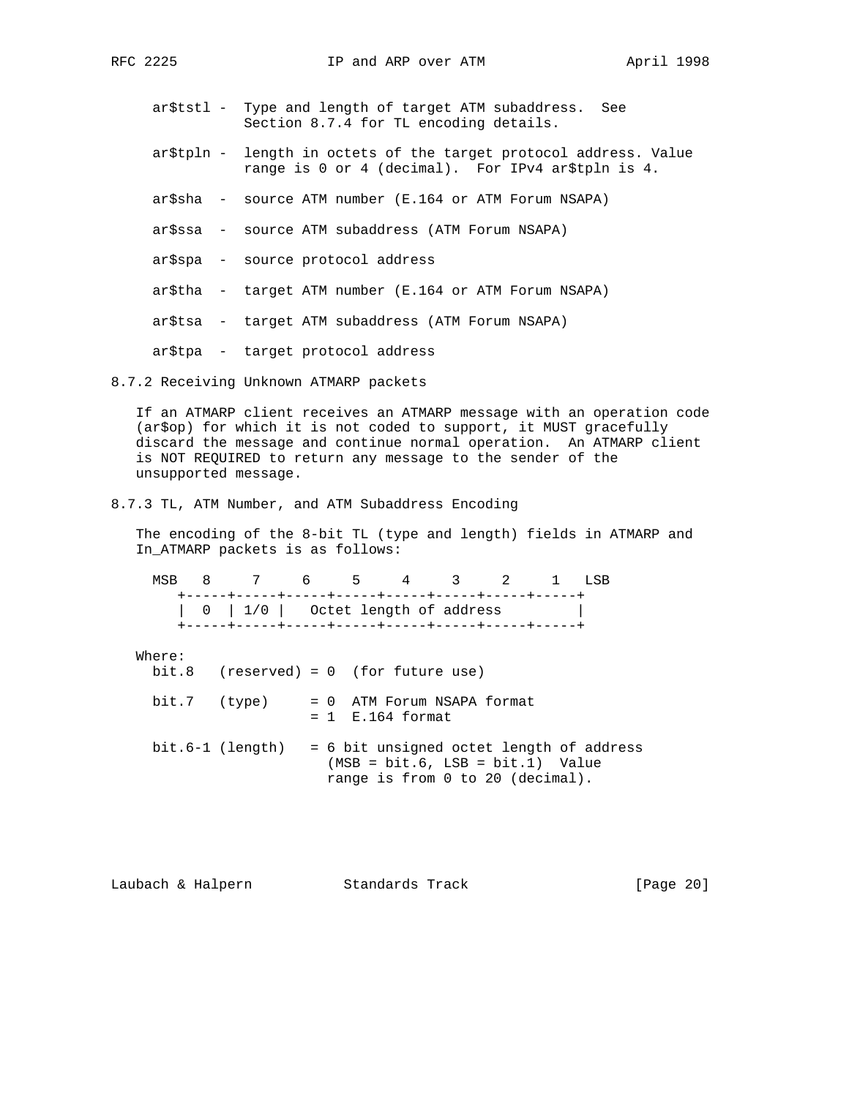- ar\$tstl Type and length of target ATM subaddress. See Section 8.7.4 for TL encoding details.
- ar\$tpln length in octets of the target protocol address. Value range is 0 or 4 (decimal). For IPv4 ar\$tpln is 4.
- ar\$sha source ATM number (E.164 or ATM Forum NSAPA)
- ar\$ssa source ATM subaddress (ATM Forum NSAPA)
- ar\$spa source protocol address
- ar\$tha target ATM number (E.164 or ATM Forum NSAPA)
- ar\$tsa target ATM subaddress (ATM Forum NSAPA)
- ar\$tpa target protocol address

## 8.7.2 Receiving Unknown ATMARP packets

 If an ATMARP client receives an ATMARP message with an operation code (ar\$op) for which it is not coded to support, it MUST gracefully discard the message and continue normal operation. An ATMARP client is NOT REQUIRED to return any message to the sender of the unsupported message.

## 8.7.3 TL, ATM Number, and ATM Subaddress Encoding

 The encoding of the 8-bit TL (type and length) fields in ATMARP and In\_ATMARP packets is as follows:

|  | MSR 8 7 6 5 4 3 2 1 |  |  |  |  |
|--|---------------------|--|--|--|--|
|  |                     |  |  |  |  |
|  |                     |  |  |  |  |

# Where:

bit.8 (reserved) = 0 (for future use)

| bit.7 (type) | = 0 ATM Forum NSAPA format |
|--------------|----------------------------|
|              | $= 1$ E.164 format         |

 bit.6-1 (length) = 6 bit unsigned octet length of address (MSB = bit.6, LSB = bit.1) Value range is from 0 to 20 (decimal).

| Laubach & Halpern | Standards Track | [Page 20] |
|-------------------|-----------------|-----------|
|-------------------|-----------------|-----------|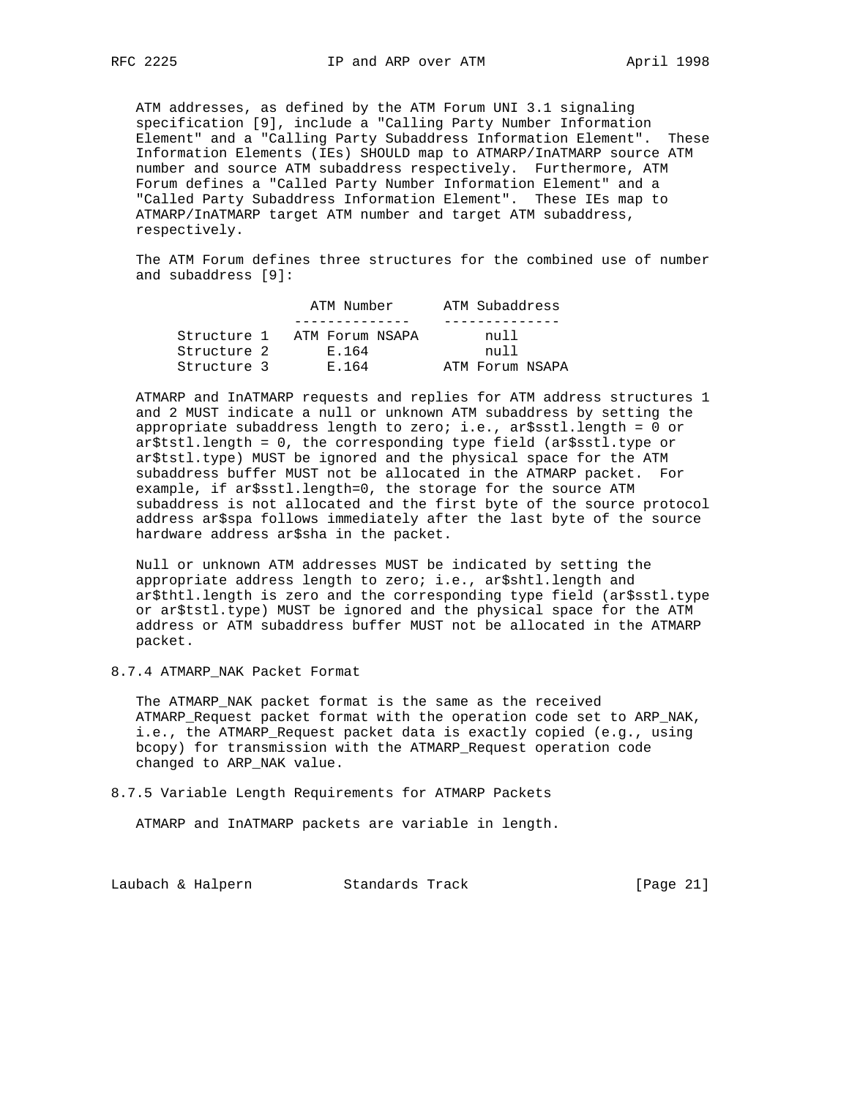ATM addresses, as defined by the ATM Forum UNI 3.1 signaling specification [9], include a "Calling Party Number Information Element" and a "Calling Party Subaddress Information Element". These Information Elements (IEs) SHOULD map to ATMARP/InATMARP source ATM number and source ATM subaddress respectively. Furthermore, ATM Forum defines a "Called Party Number Information Element" and a "Called Party Subaddress Information Element". These IEs map to ATMARP/InATMARP target ATM number and target ATM subaddress, respectively.

 The ATM Forum defines three structures for the combined use of number and subaddress [9]:

|             | ATM Number      | ATM Subaddress  |  |  |  |  |
|-------------|-----------------|-----------------|--|--|--|--|
|             |                 |                 |  |  |  |  |
| Structure 1 | ATM Forum NSAPA | ทบ11            |  |  |  |  |
| Structure 2 | F.164           | ทบ11            |  |  |  |  |
| Structure 3 | E 164           | ATM Forum NSAPA |  |  |  |  |

 ATMARP and InATMARP requests and replies for ATM address structures 1 and 2 MUST indicate a null or unknown ATM subaddress by setting the appropriate subaddress length to zero; i.e., ar\$sstl.length = 0 or ar\$tstl.length = 0, the corresponding type field (ar\$sstl.type or ar\$tstl.type) MUST be ignored and the physical space for the ATM subaddress buffer MUST not be allocated in the ATMARP packet. For example, if ar\$sstl.length=0, the storage for the source ATM subaddress is not allocated and the first byte of the source protocol address ar\$spa follows immediately after the last byte of the source hardware address ar\$sha in the packet.

 Null or unknown ATM addresses MUST be indicated by setting the appropriate address length to zero; i.e., ar\$shtl.length and ar\$thtl.length is zero and the corresponding type field (ar\$sstl.type or ar\$tstl.type) MUST be ignored and the physical space for the ATM address or ATM subaddress buffer MUST not be allocated in the ATMARP packet.

8.7.4 ATMARP\_NAK Packet Format

 The ATMARP\_NAK packet format is the same as the received ATMARP\_Request packet format with the operation code set to ARP\_NAK, i.e., the ATMARP\_Request packet data is exactly copied (e.g., using bcopy) for transmission with the ATMARP\_Request operation code changed to ARP\_NAK value.

8.7.5 Variable Length Requirements for ATMARP Packets

ATMARP and InATMARP packets are variable in length.

Laubach & Halpern Standards Track [Page 21]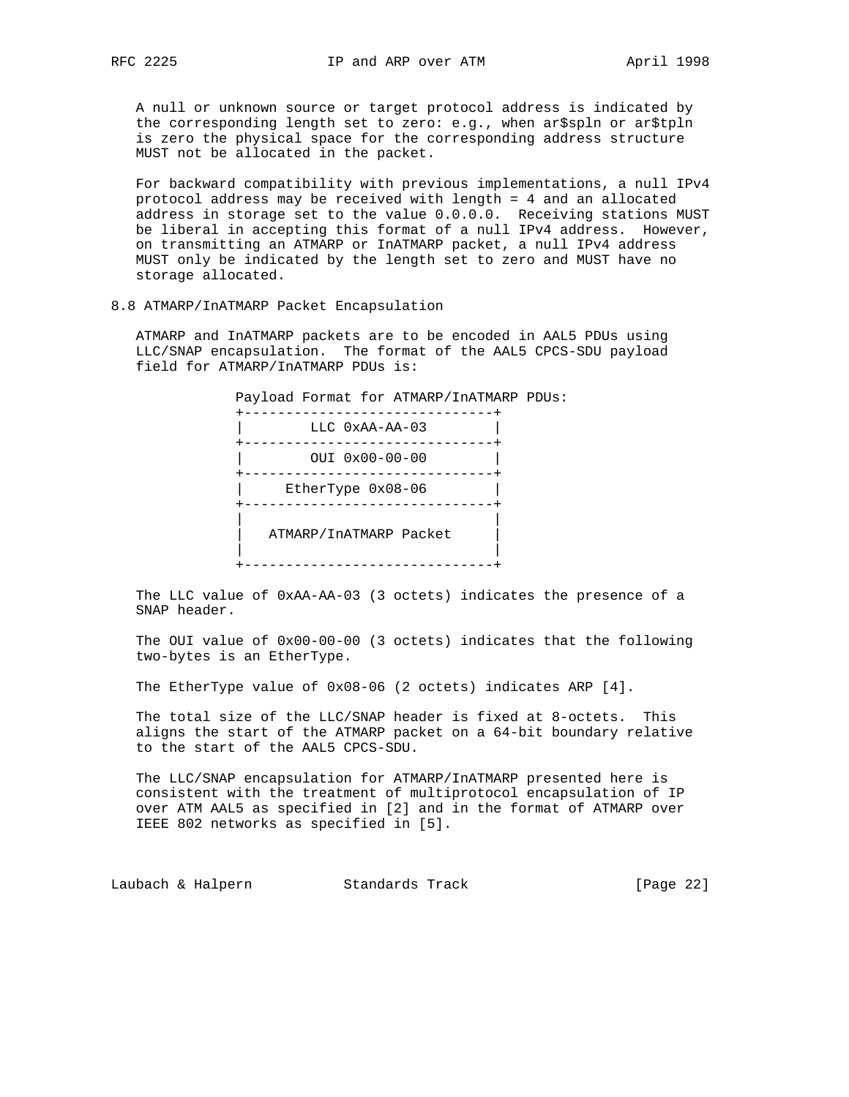A null or unknown source or target protocol address is indicated by the corresponding length set to zero: e.g., when ar\$spln or ar\$tpln is zero the physical space for the corresponding address structure MUST not be allocated in the packet.

 For backward compatibility with previous implementations, a null IPv4 protocol address may be received with length = 4 and an allocated address in storage set to the value 0.0.0.0. Receiving stations MUST be liberal in accepting this format of a null IPv4 address. However, on transmitting an ATMARP or InATMARP packet, a null IPv4 address MUST only be indicated by the length set to zero and MUST have no storage allocated.

### 8.8 ATMARP/InATMARP Packet Encapsulation

 ATMARP and InATMARP packets are to be encoded in AAL5 PDUs using LLC/SNAP encapsulation. The format of the AAL5 CPCS-SDU payload field for ATMARP/InATMARP PDUs is:

 Payload Format for ATMARP/InATMARP PDUs: +------------------------------+ | LLC 0xAA-AA-03 | +------------------------------+ | OUI 0x00-00-00 | +------------------------------+ | EtherType 0x08-06 | +------------------------------+ | | | ATMARP/InATMARP Packet | | | +------------------------------+

 The LLC value of 0xAA-AA-03 (3 octets) indicates the presence of a SNAP header.

 The OUI value of 0x00-00-00 (3 octets) indicates that the following two-bytes is an EtherType.

The EtherType value of 0x08-06 (2 octets) indicates ARP [4].

 The total size of the LLC/SNAP header is fixed at 8-octets. This aligns the start of the ATMARP packet on a 64-bit boundary relative to the start of the AAL5 CPCS-SDU.

 The LLC/SNAP encapsulation for ATMARP/InATMARP presented here is consistent with the treatment of multiprotocol encapsulation of IP over ATM AAL5 as specified in [2] and in the format of ATMARP over IEEE 802 networks as specified in [5].

Laubach & Halpern Standards Track [Page 22]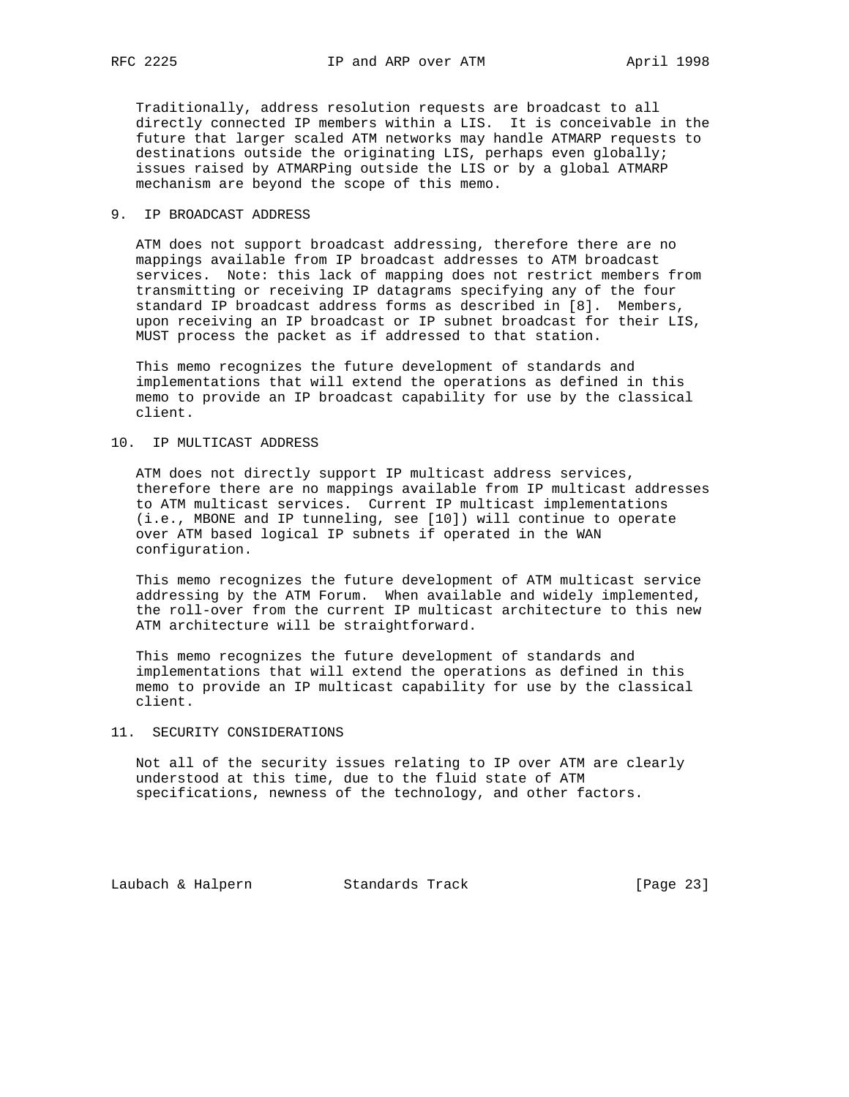Traditionally, address resolution requests are broadcast to all directly connected IP members within a LIS. It is conceivable in the future that larger scaled ATM networks may handle ATMARP requests to destinations outside the originating LIS, perhaps even globally; issues raised by ATMARPing outside the LIS or by a global ATMARP mechanism are beyond the scope of this memo.

## 9. IP BROADCAST ADDRESS

 ATM does not support broadcast addressing, therefore there are no mappings available from IP broadcast addresses to ATM broadcast services. Note: this lack of mapping does not restrict members from transmitting or receiving IP datagrams specifying any of the four standard IP broadcast address forms as described in [8]. Members, upon receiving an IP broadcast or IP subnet broadcast for their LIS, MUST process the packet as if addressed to that station.

 This memo recognizes the future development of standards and implementations that will extend the operations as defined in this memo to provide an IP broadcast capability for use by the classical client.

### 10. IP MULTICAST ADDRESS

 ATM does not directly support IP multicast address services, therefore there are no mappings available from IP multicast addresses to ATM multicast services. Current IP multicast implementations (i.e., MBONE and IP tunneling, see [10]) will continue to operate over ATM based logical IP subnets if operated in the WAN configuration.

 This memo recognizes the future development of ATM multicast service addressing by the ATM Forum. When available and widely implemented, the roll-over from the current IP multicast architecture to this new ATM architecture will be straightforward.

 This memo recognizes the future development of standards and implementations that will extend the operations as defined in this memo to provide an IP multicast capability for use by the classical client.

### 11. SECURITY CONSIDERATIONS

 Not all of the security issues relating to IP over ATM are clearly understood at this time, due to the fluid state of ATM specifications, newness of the technology, and other factors.

Laubach & Halpern Standards Track [Page 23]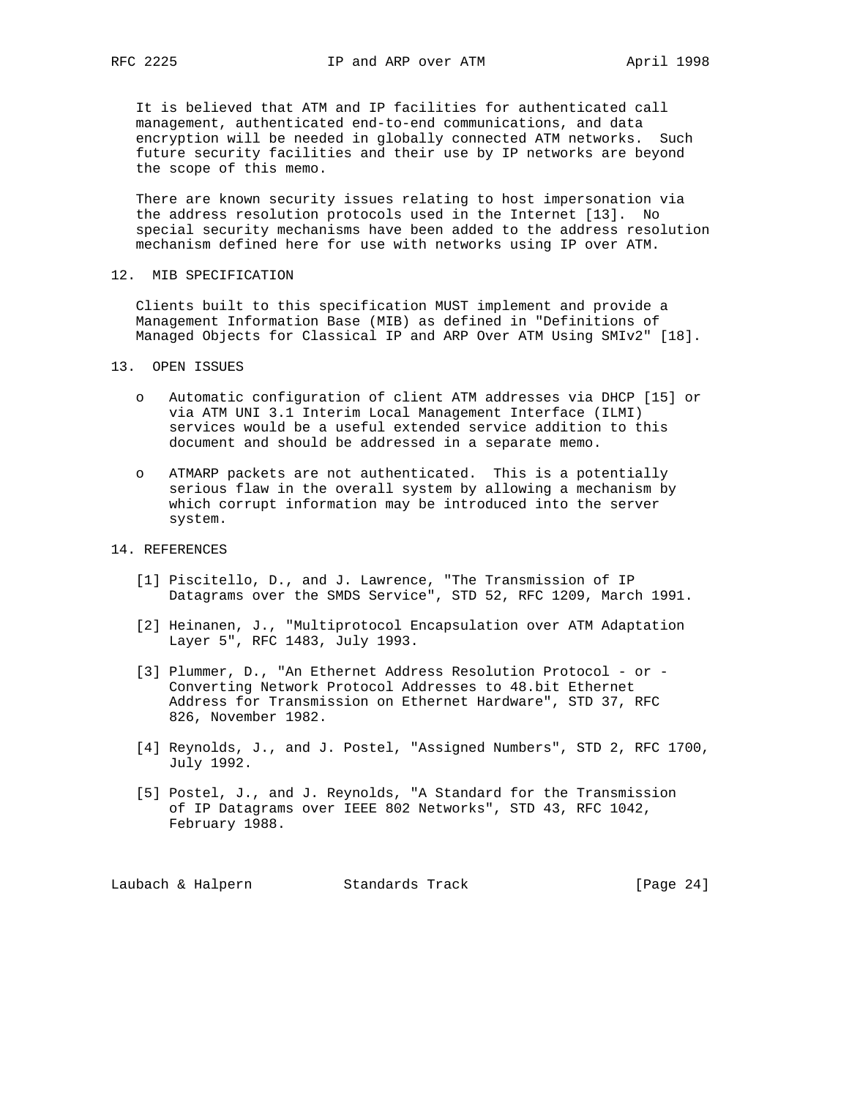It is believed that ATM and IP facilities for authenticated call management, authenticated end-to-end communications, and data encryption will be needed in globally connected ATM networks. Such future security facilities and their use by IP networks are beyond the scope of this memo.

 There are known security issues relating to host impersonation via the address resolution protocols used in the Internet [13]. No special security mechanisms have been added to the address resolution mechanism defined here for use with networks using IP over ATM.

12. MIB SPECIFICATION

 Clients built to this specification MUST implement and provide a Management Information Base (MIB) as defined in "Definitions of Managed Objects for Classical IP and ARP Over ATM Using SMIv2" [18].

- 13. OPEN ISSUES
	- o Automatic configuration of client ATM addresses via DHCP [15] or via ATM UNI 3.1 Interim Local Management Interface (ILMI) services would be a useful extended service addition to this document and should be addressed in a separate memo.
	- o ATMARP packets are not authenticated. This is a potentially serious flaw in the overall system by allowing a mechanism by which corrupt information may be introduced into the server system.
- 14. REFERENCES
	- [1] Piscitello, D., and J. Lawrence, "The Transmission of IP Datagrams over the SMDS Service", STD 52, RFC 1209, March 1991.
	- [2] Heinanen, J., "Multiprotocol Encapsulation over ATM Adaptation Layer 5", RFC 1483, July 1993.
	- [3] Plummer, D., "An Ethernet Address Resolution Protocol or Converting Network Protocol Addresses to 48.bit Ethernet Address for Transmission on Ethernet Hardware", STD 37, RFC 826, November 1982.
	- [4] Reynolds, J., and J. Postel, "Assigned Numbers", STD 2, RFC 1700, July 1992.
	- [5] Postel, J., and J. Reynolds, "A Standard for the Transmission of IP Datagrams over IEEE 802 Networks", STD 43, RFC 1042, February 1988.

Laubach & Halpern Standards Track [Page 24]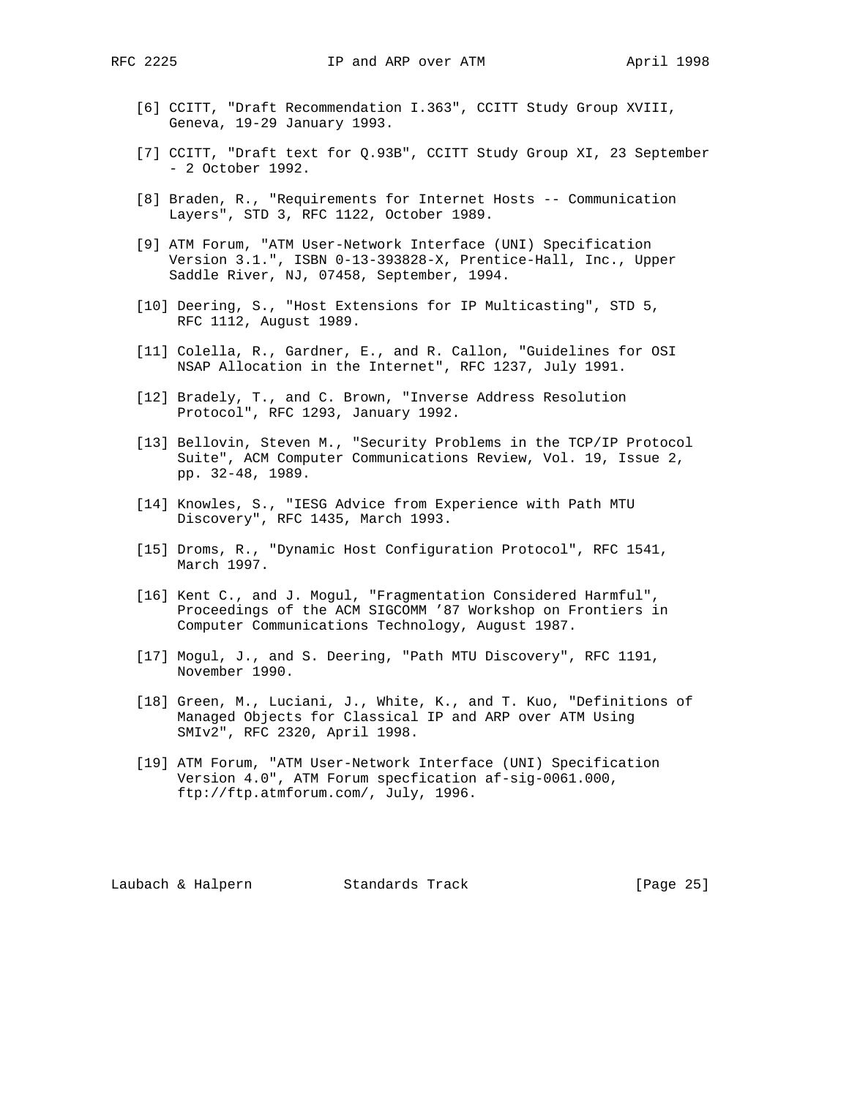- - [6] CCITT, "Draft Recommendation I.363", CCITT Study Group XVIII, Geneva, 19-29 January 1993.
	- [7] CCITT, "Draft text for Q.93B", CCITT Study Group XI, 23 September - 2 October 1992.
	- [8] Braden, R., "Requirements for Internet Hosts -- Communication Layers", STD 3, RFC 1122, October 1989.
	- [9] ATM Forum, "ATM User-Network Interface (UNI) Specification Version 3.1.", ISBN 0-13-393828-X, Prentice-Hall, Inc., Upper Saddle River, NJ, 07458, September, 1994.
	- [10] Deering, S., "Host Extensions for IP Multicasting", STD 5, RFC 1112, August 1989.
	- [11] Colella, R., Gardner, E., and R. Callon, "Guidelines for OSI NSAP Allocation in the Internet", RFC 1237, July 1991.
	- [12] Bradely, T., and C. Brown, "Inverse Address Resolution Protocol", RFC 1293, January 1992.
	- [13] Bellovin, Steven M., "Security Problems in the TCP/IP Protocol Suite", ACM Computer Communications Review, Vol. 19, Issue 2, pp. 32-48, 1989.
	- [14] Knowles, S., "IESG Advice from Experience with Path MTU Discovery", RFC 1435, March 1993.
	- [15] Droms, R., "Dynamic Host Configuration Protocol", RFC 1541, March 1997.
	- [16] Kent C., and J. Mogul, "Fragmentation Considered Harmful", Proceedings of the ACM SIGCOMM '87 Workshop on Frontiers in Computer Communications Technology, August 1987.
	- [17] Mogul, J., and S. Deering, "Path MTU Discovery", RFC 1191, November 1990.
	- [18] Green, M., Luciani, J., White, K., and T. Kuo, "Definitions of Managed Objects for Classical IP and ARP over ATM Using SMIv2", RFC 2320, April 1998.
	- [19] ATM Forum, "ATM User-Network Interface (UNI) Specification Version 4.0", ATM Forum specfication af-sig-0061.000, ftp://ftp.atmforum.com/, July, 1996.

Laubach & Halpern Standards Track [Page 25]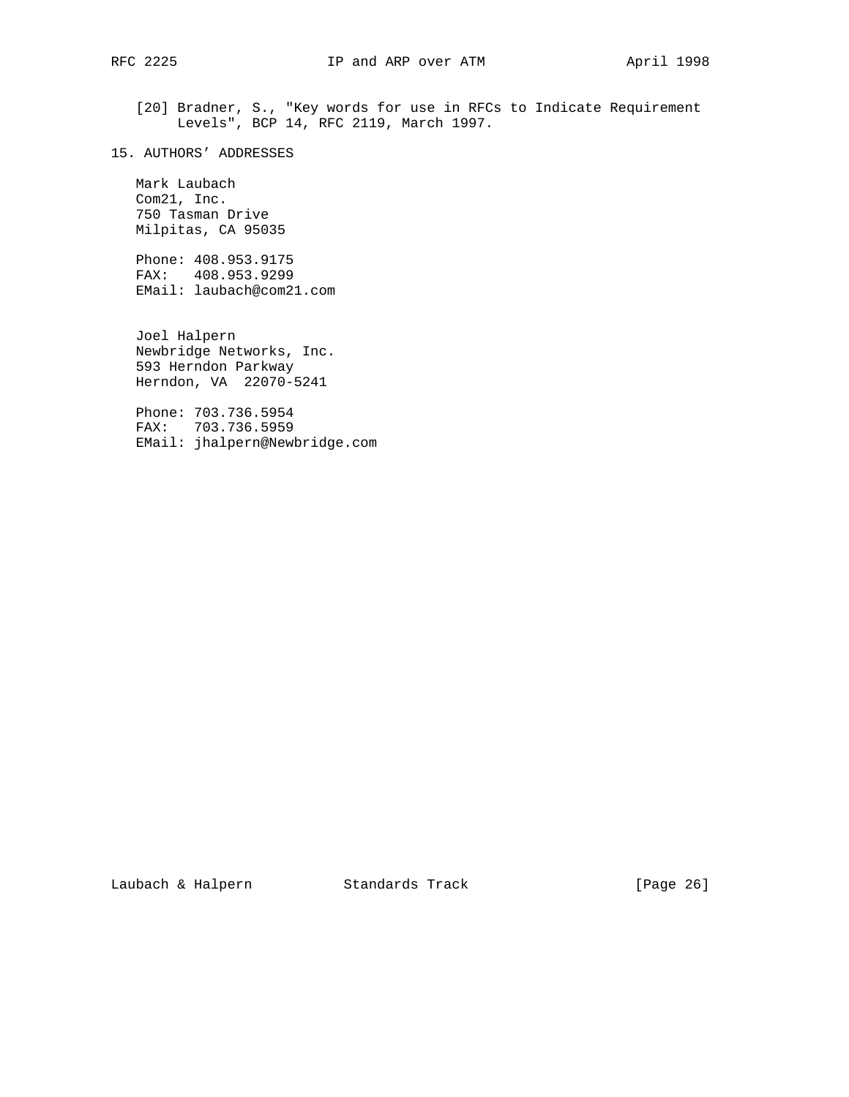[20] Bradner, S., "Key words for use in RFCs to Indicate Requirement Levels", BCP 14, RFC 2119, March 1997.

15. AUTHORS' ADDRESSES

 Mark Laubach Com21, Inc. 750 Tasman Drive Milpitas, CA 95035

 Phone: 408.953.9175 FAX: 408.953.9299 EMail: laubach@com21.com

 Joel Halpern Newbridge Networks, Inc. 593 Herndon Parkway Herndon, VA 22070-5241

 Phone: 703.736.5954 FAX: 703.736.5959 EMail: jhalpern@Newbridge.com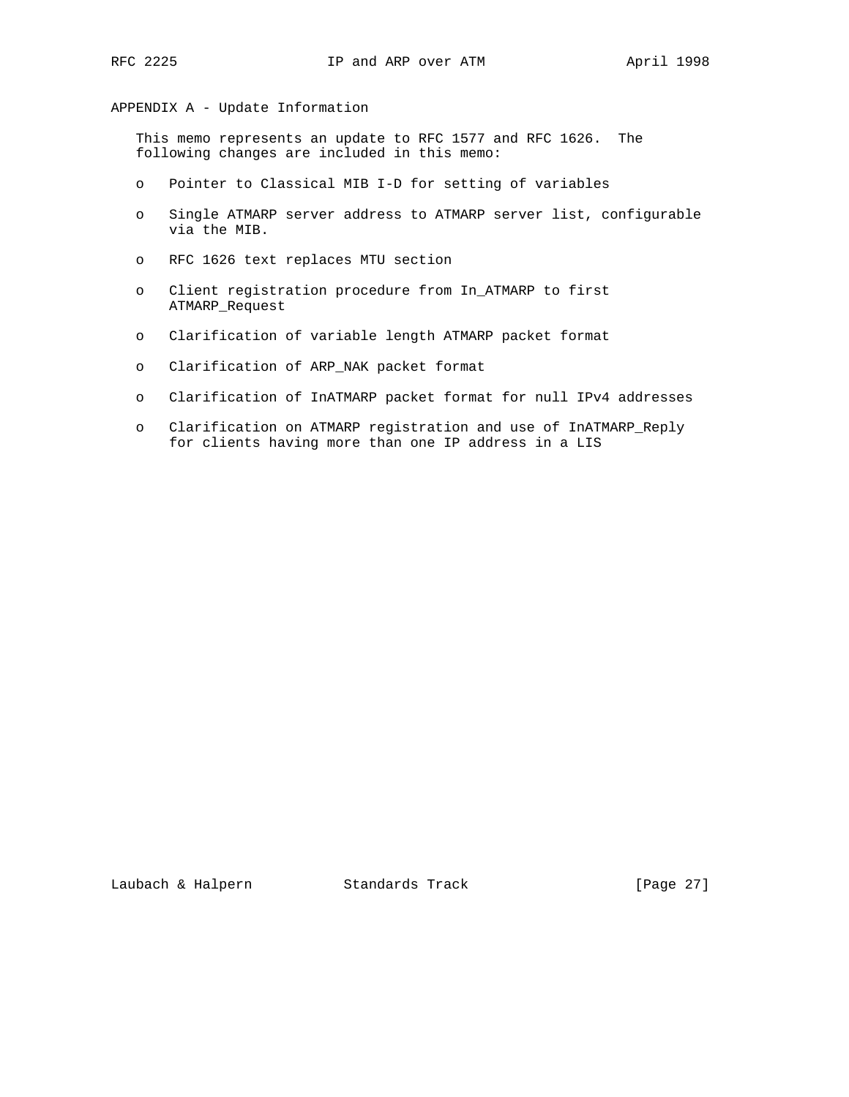APPENDIX A - Update Information

 This memo represents an update to RFC 1577 and RFC 1626. The following changes are included in this memo:

- o Pointer to Classical MIB I-D for setting of variables
- o Single ATMARP server address to ATMARP server list, configurable via the MIB.
- o RFC 1626 text replaces MTU section
- o Client registration procedure from In\_ATMARP to first ATMARP\_Request
- o Clarification of variable length ATMARP packet format
- o Clarification of ARP\_NAK packet format
- o Clarification of InATMARP packet format for null IPv4 addresses
- o Clarification on ATMARP registration and use of InATMARP\_Reply for clients having more than one IP address in a LIS